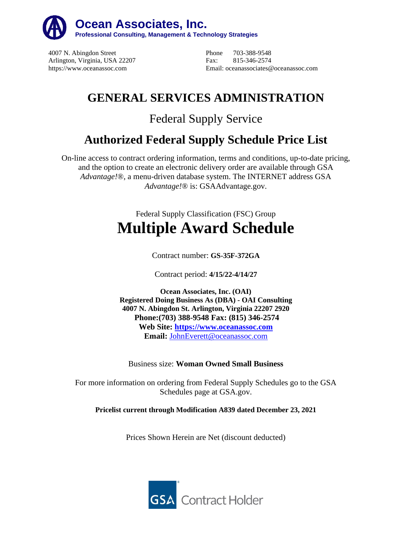

4007 N. Abingdon Street Phone 703-388-9548 Arlington, Virginia, USA 22207 Fax: 815-346-2574

https://www.oceanassoc.com Email: oceanassociates@oceanassoc.com

# **GENERAL SERVICES ADMINISTRATION**

# Federal Supply Service

# **Authorized Federal Supply Schedule Price List**

On-line access to contract ordering information, terms and conditions, up-to-date pricing, and the option to create an electronic delivery order are available through GSA *Advantage!*®, a menu-driven database system. The INTERNET address GSA *Advantage!*® is: GSAAdvantage.gov.

# Federal Supply Classification (FSC) Group **Multiple Award Schedule**

Contract number: **GS-35F-372GA**

Contract period: **4/15/22-4/14/27**

**Ocean Associates, Inc. (OAI) Registered Doing Business As (DBA) - OAI Consulting 4007 N. Abingdon St. Arlington, Virginia 22207 2920 Phone:(703) 388-9548 Fax: (815) 346-2574 Web Site: [https://www.oceanassoc.com](https://www.oceanassoc.com/) Email:** [JohnEverett@oceanassoc.com](mailto:JohnEverett@oceanassoc.com)

## Business size: **Woman Owned Small Business**

For more information on ordering from Federal Supply Schedules go to the GSA Schedules page at GSA.gov.

**Pricelist current through Modification A839 dated December 23, 2021**

Prices Shown Herein are Net (discount deducted)

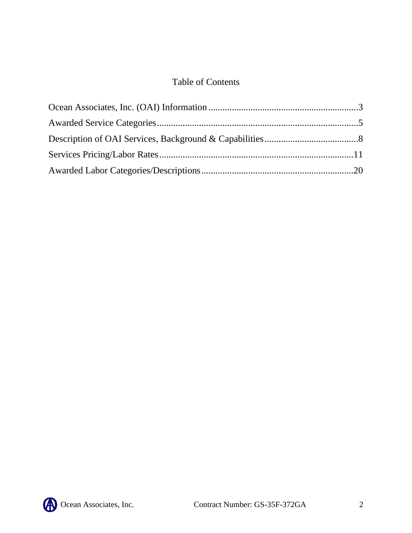## Table of Contents

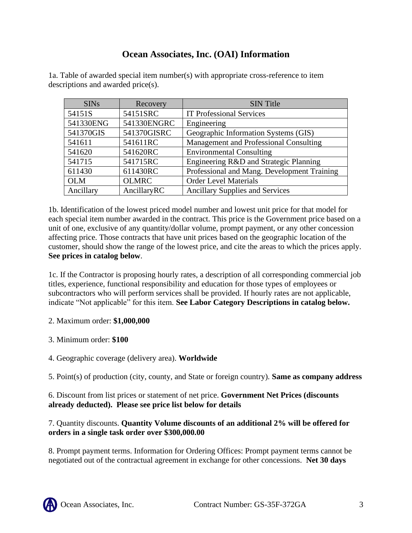## **Ocean Associates, Inc. (OAI) Information**

| <b>SINs</b> | Recovery     | <b>SIN Title</b>                            |
|-------------|--------------|---------------------------------------------|
| 54151S      | 54151SRC     | <b>IT Professional Services</b>             |
| 541330ENG   | 541330ENGRC  | Engineering                                 |
| 541370GIS   | 541370GISRC  | Geographic Information Systems (GIS)        |
| 541611      | 541611RC     | Management and Professional Consulting      |
| 541620      | 541620RC     | <b>Environmental Consulting</b>             |
| 541715      | 541715RC     | Engineering R&D and Strategic Planning      |
| 611430      | 611430RC     | Professional and Mang. Development Training |
| <b>OLM</b>  | <b>OLMRC</b> | <b>Order Level Materials</b>                |
| Ancillary   | AncillaryRC  | <b>Ancillary Supplies and Services</b>      |

<span id="page-2-0"></span>1a. Table of awarded special item number(s) with appropriate cross-reference to item descriptions and awarded price(s).

1b. Identification of the lowest priced model number and lowest unit price for that model for each special item number awarded in the contract. This price is the Government price based on a unit of one, exclusive of any quantity/dollar volume, prompt payment, or any other concession affecting price. Those contracts that have unit prices based on the geographic location of the customer, should show the range of the lowest price, and cite the areas to which the prices apply. **See prices in catalog below**.

1c. If the Contractor is proposing hourly rates, a description of all corresponding commercial job titles, experience, functional responsibility and education for those types of employees or subcontractors who will perform services shall be provided. If hourly rates are not applicable, indicate "Not applicable" for this item. **See Labor Category Descriptions in catalog below.** 

### 2. Maximum order: **\$1,000,000**

- 3. Minimum order: **\$100**
- 4. Geographic coverage (delivery area). **Worldwide**

5. Point(s) of production (city, county, and State or foreign country). **Same as company address**

6. Discount from list prices or statement of net price. **Government Net Prices (discounts already deducted). Please see price list below for details**

### 7. Quantity discounts. **Quantity Volume discounts of an additional 2% will be offered for orders in a single task order over \$300,000.00**

8. Prompt payment terms. Information for Ordering Offices: Prompt payment terms cannot be negotiated out of the contractual agreement in exchange for other concessions. **Net 30 days**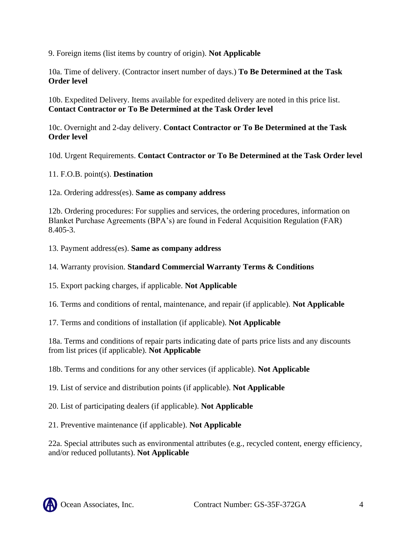9. Foreign items (list items by country of origin). **Not Applicable** 

10a. Time of delivery. (Contractor insert number of days.) **To Be Determined at the Task Order level**

10b. Expedited Delivery. Items available for expedited delivery are noted in this price list. **Contact Contractor or To Be Determined at the Task Order level**

10c. Overnight and 2-day delivery. **Contact Contractor or To Be Determined at the Task Order level**

10d. Urgent Requirements. **Contact Contractor or To Be Determined at the Task Order level**

11. F.O.B. point(s). **Destination**

12a. Ordering address(es). **Same as company address**

12b. Ordering procedures: For supplies and services, the ordering procedures, information on Blanket Purchase Agreements (BPA's) are found in Federal Acquisition Regulation (FAR) 8.405-3.

13. Payment address(es). **Same as company address**

14. Warranty provision. **Standard Commercial Warranty Terms & Conditions**

15. Export packing charges, if applicable. **Not Applicable** 

16. Terms and conditions of rental, maintenance, and repair (if applicable). **Not Applicable** 

17. Terms and conditions of installation (if applicable). **Not Applicable** 

18a. Terms and conditions of repair parts indicating date of parts price lists and any discounts from list prices (if applicable). **Not Applicable** 

18b. Terms and conditions for any other services (if applicable). **Not Applicable** 

19. List of service and distribution points (if applicable). **Not Applicable** 

20. List of participating dealers (if applicable). **Not Applicable** 

21. Preventive maintenance (if applicable). **Not Applicable** 

22a. Special attributes such as environmental attributes (e.g., recycled content, energy efficiency, and/or reduced pollutants). **Not Applicable** 

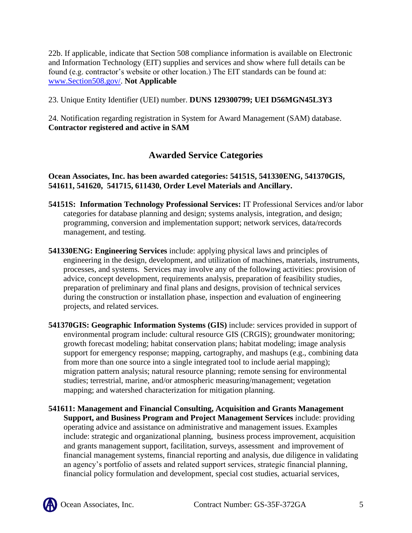22b. If applicable, indicate that Section 508 compliance information is available on Electronic and Information Technology (EIT) supplies and services and show where full details can be found (e.g. contractor's website or other location.) The EIT standards can be found at: [www.Section508.gov/.](http://www.section508.gov/) **Not Applicable** 

23. Unique Entity Identifier (UEI) number. **DUNS 129300799; UEI D56MGN45L3Y3**

<span id="page-4-0"></span>24. Notification regarding registration in System for Award Management (SAM) database. **Contractor registered and active in SAM**

## **Awarded Service Categories**

### **Ocean Associates, Inc. has been awarded categories: 54151S, 541330ENG, 541370GIS, 541611, 541620, 541715, 611430, Order Level Materials and Ancillary.**

- **54151S: Information Technology Professional Services:** IT Professional Services and/or labor categories for database planning and design; systems analysis, integration, and design; programming, conversion and implementation support; network services, data/records management, and testing.
- **541330ENG: Engineering Services** include: applying physical laws and principles of engineering in the design, development, and utilization of machines, materials, instruments, processes, and systems. Services may involve any of the following activities: provision of advice, concept development, requirements analysis, preparation of feasibility studies, preparation of preliminary and final plans and designs, provision of technical services during the construction or installation phase, inspection and evaluation of engineering projects, and related services.
- **541370GIS: Geographic Information Systems (GIS)** include: services provided in support of environmental program include: cultural resource GIS (CRGIS); groundwater monitoring; growth forecast modeling; habitat conservation plans; habitat modeling; image analysis support for emergency response; mapping, cartography, and mashups (e.g., combining data from more than one source into a single integrated tool to include aerial mapping); migration pattern analysis; natural resource planning; remote sensing for environmental studies; terrestrial, marine, and/or atmospheric measuring/management; vegetation mapping; and watershed characterization for mitigation planning.
- **541611: Management and Financial Consulting, Acquisition and Grants Management Support, and Business Program and Project Management Services** include: providing operating advice and assistance on administrative and management issues. Examples include: strategic and organizational planning, business process improvement, acquisition and grants management support, facilitation, surveys, assessment and improvement of financial management systems, financial reporting and analysis, due diligence in validating an agency's portfolio of assets and related support services, strategic financial planning, financial policy formulation and development, special cost studies, actuarial services,

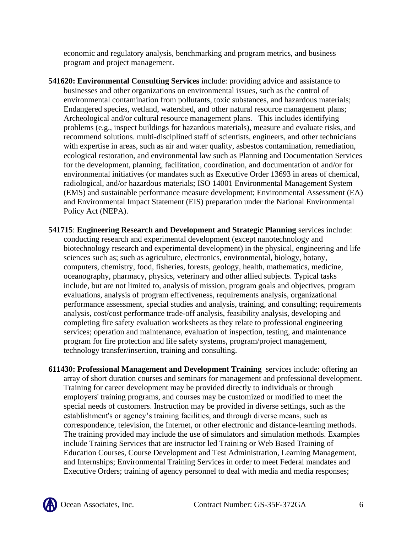economic and regulatory analysis, benchmarking and program metrics, and business program and project management.

- **541620: Environmental Consulting Services** include: providing advice and assistance to businesses and other organizations on environmental issues, such as the control of environmental contamination from pollutants, toxic substances, and hazardous materials; Endangered species, wetland, watershed, and other natural resource management plans; Archeological and/or cultural resource management plans. This includes identifying problems (e.g., inspect buildings for hazardous materials), measure and evaluate risks, and recommend solutions. multi-disciplined staff of scientists, engineers, and other technicians with expertise in areas, such as air and water quality, asbestos contamination, remediation, ecological restoration, and environmental law such as Planning and Documentation Services for the development, planning, facilitation, coordination, and documentation of and/or for environmental initiatives (or mandates such as Executive Order 13693 in areas of chemical, radiological, and/or hazardous materials; ISO 14001 Environmental Management System (EMS) and sustainable performance measure development; Environmental Assessment (EA) and Environmental Impact Statement (EIS) preparation under the National Environmental Policy Act (NEPA).
- **541715**: **Engineering Research and Development and Strategic Planning** services include: conducting research and experimental development (except nanotechnology and biotechnology research and experimental development) in the physical, engineering and life sciences such as; such as agriculture, electronics, environmental, biology, botany, computers, chemistry, food, fisheries, forests, geology, health, mathematics, medicine, oceanography, pharmacy, physics, veterinary and other allied subjects. Typical tasks include, but are not limited to, analysis of mission, program goals and objectives, program evaluations, analysis of program effectiveness, requirements analysis, organizational performance assessment, special studies and analysis, training, and consulting; requirements analysis, cost/cost performance trade-off analysis, feasibility analysis, developing and completing fire safety evaluation worksheets as they relate to professional engineering services; operation and maintenance, evaluation of inspection, testing, and maintenance program for fire protection and life safety systems, program/project management, technology transfer/insertion, training and consulting.
- **611430: Professional Management and Development Training** services include: offering an array of short duration courses and seminars for management and professional development. Training for career development may be provided directly to individuals or through employers' training programs, and courses may be customized or modified to meet the special needs of customers. Instruction may be provided in diverse settings, such as the establishment's or agency's training facilities, and through diverse means, such as correspondence, television, the Internet, or other electronic and distance-learning methods. The training provided may include the use of simulators and simulation methods. Examples include Training Services that are instructor led Training or Web Based Training of Education Courses, Course Development and Test Administration, Learning Management, and Internships; Environmental Training Services in order to meet Federal mandates and Executive Orders; training of agency personnel to deal with media and media responses;

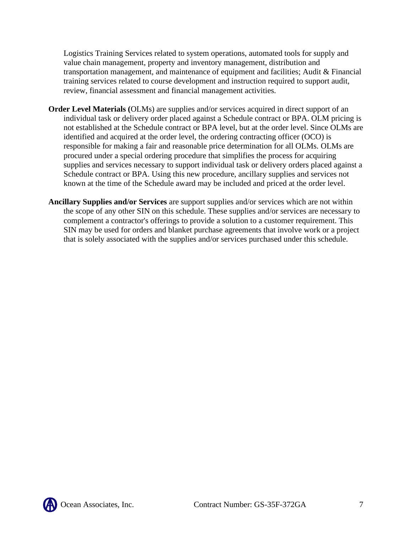Logistics Training Services related to system operations, automated tools for supply and value chain management, property and inventory management, distribution and transportation management, and maintenance of equipment and facilities; Audit & Financial training services related to course development and instruction required to support audit, review, financial assessment and financial management activities.

- **Order Level Materials (**OLMs) are supplies and/or services acquired in direct support of an individual task or delivery order placed against a Schedule contract or BPA. OLM pricing is not established at the Schedule contract or BPA level, but at the order level. Since OLMs are identified and acquired at the order level, the ordering contracting officer (OCO) is responsible for making a fair and reasonable price determination for all OLMs. OLMs are procured under a special ordering procedure that simplifies the process for acquiring supplies and services necessary to support individual task or delivery orders placed against a Schedule contract or BPA. Using this new procedure, ancillary supplies and services not known at the time of the Schedule award may be included and priced at the order level.
- **Ancillary Supplies and/or Services** are support supplies and/or services which are not within the scope of any other SIN on this schedule. These supplies and/or services are necessary to complement a contractor's offerings to provide a solution to a customer requirement. This SIN may be used for orders and blanket purchase agreements that involve work or a project that is solely associated with the supplies and/or services purchased under this schedule.

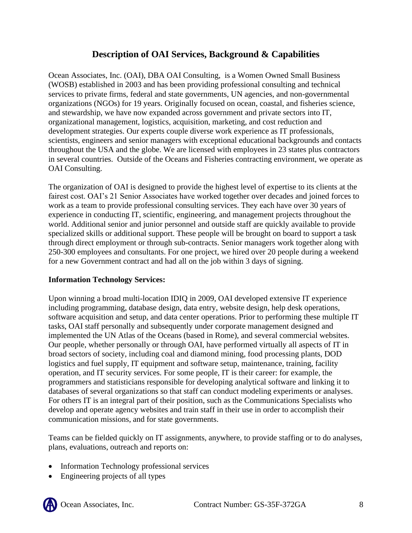## **Description of OAI Services, Background & Capabilities**

<span id="page-7-0"></span>Ocean Associates, Inc. (OAI), DBA OAI Consulting, is a Women Owned Small Business (WOSB) established in 2003 and has been providing professional consulting and technical services to private firms, federal and state governments, UN agencies, and non-governmental organizations (NGOs) for 19 years. Originally focused on ocean, coastal, and fisheries science, and stewardship, we have now expanded across government and private sectors into IT, organizational management, logistics, acquisition, marketing, and cost reduction and development strategies. Our experts couple diverse work experience as IT professionals, scientists, engineers and senior managers with exceptional educational backgrounds and contacts throughout the USA and the globe. We are licensed with employees in 23 states plus contractors in several countries. Outside of the Oceans and Fisheries contracting environment, we operate as OAI Consulting.

The organization of OAI is designed to provide the highest level of expertise to its clients at the fairest cost. OAI's 21 Senior Associates have worked together over decades and joined forces to work as a team to provide professional consulting services. They each have over 30 years of experience in conducting IT, scientific, engineering, and management projects throughout the world. Additional senior and junior personnel and outside staff are quickly available to provide specialized skills or additional support. These people will be brought on board to support a task through direct employment or through sub-contracts. Senior managers work together along with 250-300 employees and consultants. For one project, we hired over 20 people during a weekend for a new Government contract and had all on the job within 3 days of signing.

### **Information Technology Services:**

Upon winning a broad multi-location IDIQ in 2009, OAI developed extensive IT experience including programming, database design, data entry, website design, help desk operations, software acquisition and setup, and data center operations. Prior to performing these multiple IT tasks, OAI staff personally and subsequently under corporate management designed and implemented the UN Atlas of the Oceans (based in Rome), and several commercial websites. Our people, whether personally or through OAI, have performed virtually all aspects of IT in broad sectors of society, including coal and diamond mining, food processing plants, DOD logistics and fuel supply, IT equipment and software setup, maintenance, training, facility operation, and IT security services. For some people, IT is their career: for example, the programmers and statisticians responsible for developing analytical software and linking it to databases of several organizations so that staff can conduct modeling experiments or analyses. For others IT is an integral part of their position, such as the Communications Specialists who develop and operate agency websites and train staff in their use in order to accomplish their communication missions, and for state governments.

Teams can be fielded quickly on IT assignments, anywhere, to provide staffing or to do analyses, plans, evaluations, outreach and reports on:

- Information Technology professional services
- Engineering projects of all types

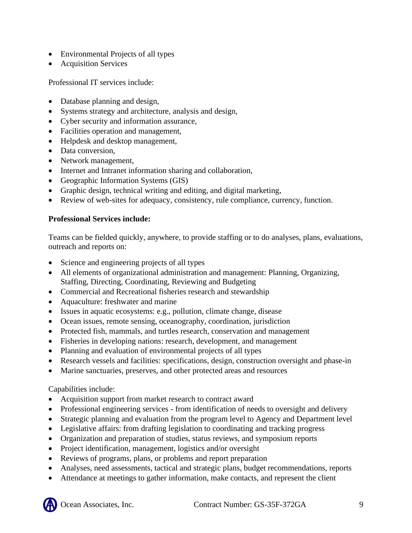- Environmental Projects of all types
- Acquisition Services

Professional IT services include:

- Database planning and design,
- Systems strategy and architecture, analysis and design,
- Cyber security and information assurance,
- Facilities operation and management,
- Helpdesk and desktop management,
- Data conversion.
- Network management,
- Internet and Intranet information sharing and collaboration,
- Geographic Information Systems (GIS)
- Graphic design, technical writing and editing, and digital marketing,
- Review of web-sites for adequacy, consistency, rule compliance, currency, function.

### **Professional Services include:**

Teams can be fielded quickly, anywhere, to provide staffing or to do analyses, plans, evaluations, outreach and reports on:

- Science and engineering projects of all types
- All elements of organizational administration and management: Planning, Organizing, Staffing, Directing, Coordinating, Reviewing and Budgeting
- Commercial and Recreational fisheries research and stewardship
- Aquaculture: freshwater and marine
- Issues in aquatic ecosystems: e.g., pollution, climate change, disease
- Ocean issues, remote sensing, oceanography, coordination, jurisdiction
- Protected fish, mammals, and turtles research, conservation and management
- Fisheries in developing nations: research, development, and management
- Planning and evaluation of environmental projects of all types
- Research vessels and facilities: specifications, design, construction oversight and phase-in
- Marine sanctuaries, preserves, and other protected areas and resources

### Capabilities include:

- Acquisition support from market research to contract award
- Professional engineering services from identification of needs to oversight and delivery
- Strategic planning and evaluation from the program level to Agency and Department level
- Legislative affairs: from drafting legislation to coordinating and tracking progress
- Organization and preparation of studies, status reviews, and symposium reports
- Project identification, management, logistics and/or oversight
- Reviews of programs, plans, or problems and report preparation
- Analyses, need assessments, tactical and strategic plans, budget recommendations, reports
- Attendance at meetings to gather information, make contacts, and represent the client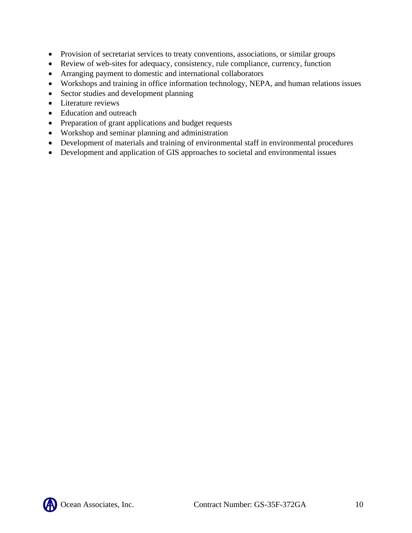- Provision of secretariat services to treaty conventions, associations, or similar groups
- Review of web-sites for adequacy, consistency, rule compliance, currency, function
- Arranging payment to domestic and international collaborators
- Workshops and training in office information technology, NEPA, and human relations issues
- Sector studies and development planning
- Literature reviews
- Education and outreach
- Preparation of grant applications and budget requests
- Workshop and seminar planning and administration
- Development of materials and training of environmental staff in environmental procedures
- Development and application of GIS approaches to societal and environmental issues

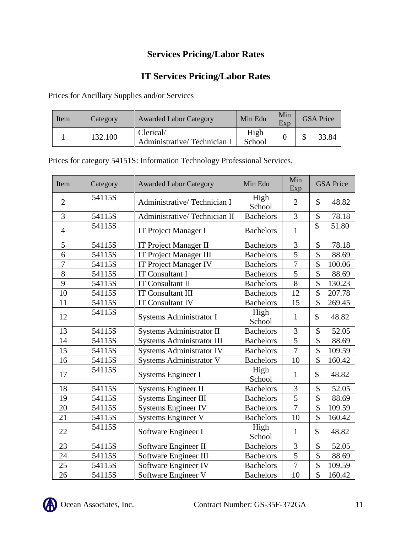## **Services Pricing/Labor Rates**

## **IT Services Pricing/Labor Rates**

<span id="page-10-0"></span>Prices for Ancillary Supplies and/or Services

| Item | Category | <b>Awarded Labor Category</b>            | Min Edu        | Min<br>Exp | <b>GSA Price</b> |
|------|----------|------------------------------------------|----------------|------------|------------------|
|      | 132.100  | Clerical/<br>Administrative/Technician I | High<br>School |            | 33.84            |

Prices for category 54151S: Information Technology Professional Services.

| Item           | Category | <b>Awarded Labor Category</b>    | Min Edu          | Min<br>Exp     |                          | <b>GSA Price</b> |
|----------------|----------|----------------------------------|------------------|----------------|--------------------------|------------------|
| $\overline{2}$ | 54115S   | Administrative/Technician I      | High<br>School   | $\overline{2}$ | \$                       | 48.82            |
| 3              | 54115S   | Administrative/Technician II     | <b>Bachelors</b> | 3              | \$                       | 78.18            |
| $\overline{4}$ | 54115S   | <b>IT Project Manager I</b>      | <b>Bachelors</b> | $\mathbf{1}$   | $\hat{S}$                | 51.80            |
| 5              | 54115S   | <b>IT Project Manager II</b>     | <b>Bachelors</b> | 3              | \$                       | 78.18            |
| 6              | 54115S   | <b>IT Project Manager III</b>    | <b>Bachelors</b> | 5              | \$                       | 88.69            |
| 7              | 54115S   | <b>IT Project Manager IV</b>     | <b>Bachelors</b> | $\overline{7}$ | $\overline{\$}$          | 100.06           |
| 8              | 54115S   | <b>IT Consultant I</b>           | <b>Bachelors</b> | 5              | \$                       | 88.69            |
| 9              | 54115S   | <b>IT Consultant II</b>          | <b>Bachelors</b> | 8              | \$                       | 130.23           |
| 10             | 54115S   | <b>IT Consultant III</b>         | <b>Bachelors</b> | 12             | $\overline{\mathcal{S}}$ | 207.78           |
| 11             | 54115S   | <b>IT Consultant IV</b>          | <b>Bachelors</b> | 15             | \$                       | 269.45           |
| 12             | 54115S   | Systems Administrator I          | High<br>School   | $\mathbf{1}$   | \$                       | 48.82            |
| 13             | 54115S   | Systems Administrator II         | <b>Bachelors</b> | 3              | \$                       | 52.05            |
| 14             | 54115S   | <b>Systems Administrator III</b> | <b>Bachelors</b> | $\overline{5}$ | $\overline{\mathcal{S}}$ | 88.69            |
| 15             | 54115S   | Systems Administrator IV         | <b>Bachelors</b> | $\overline{7}$ | \$                       | 109.59           |
| 16             | 54115S   | Systems Administrator V          | <b>Bachelors</b> | 10             | $\overline{\mathcal{S}}$ | 160.42           |
| 17             | 54115S   | <b>Systems Engineer I</b>        | High<br>School   | $\mathbf{1}$   | $\hat{\mathcal{L}}$      | 48.82            |
| 18             | 54115S   | <b>Systems Engineer II</b>       | <b>Bachelors</b> | 3              | \$                       | 52.05            |
| 19             | 54115S   | <b>Systems Engineer III</b>      | <b>Bachelors</b> | 5              | $\overline{\mathcal{S}}$ | 88.69            |
| 20             | 54115S   | <b>Systems Engineer IV</b>       | <b>Bachelors</b> | 7              | \$                       | 109.59           |
| 21             | 54115S   | <b>Systems Engineer V</b>        | <b>Bachelors</b> | 10             | $\overline{\mathcal{S}}$ | 160.42           |
| 22             | 54115S   | Software Engineer I              | High<br>School   | $\mathbf{1}$   | \$                       | 48.82            |
| 23             | 54115S   | Software Engineer II             | <b>Bachelors</b> | 3              | \$                       | 52.05            |
| 24             | 54115S   | Software Engineer III            | <b>Bachelors</b> | 5              | \$                       | 88.69            |
| 25             | 54115S   | Software Engineer IV             | <b>Bachelors</b> | $\tau$         | \$                       | 109.59           |
| 26             | 54115S   | Software Engineer V              | <b>Bachelors</b> | 10             | $\hat{S}$                | 160.42           |

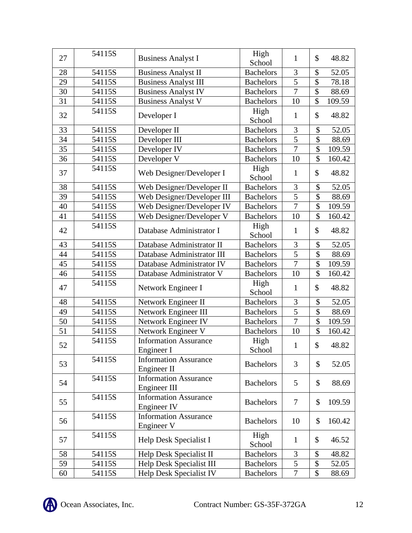| 27              | 54115S | <b>Business Analyst I</b>                    | High<br>School   | $\mathbf{1}$   | \$                       | 48.82  |
|-----------------|--------|----------------------------------------------|------------------|----------------|--------------------------|--------|
| 28              | 54115S | <b>Business Analyst II</b>                   | <b>Bachelors</b> | 3              | \$                       | 52.05  |
| 29              | 54115S | <b>Business Analyst III</b>                  | <b>Bachelors</b> | $\overline{5}$ | $\overline{\$}$          | 78.18  |
| $\overline{30}$ | 54115S | <b>Business Analyst IV</b>                   | <b>Bachelors</b> | $\overline{7}$ | $\overline{\$}$          | 88.69  |
| 31              | 54115S | <b>Business Analyst V</b>                    | <b>Bachelors</b> | 10             | \$                       | 109.59 |
| 32              | 54115S | Developer I                                  | High<br>School   | $\mathbf{1}$   | \$                       | 48.82  |
| 33              | 54115S | Developer II                                 | <b>Bachelors</b> | 3              | \$                       | 52.05  |
| 34              | 54115S | Developer III                                | <b>Bachelors</b> | 5              | \$                       | 88.69  |
| 35              | 54115S | Developer IV                                 | <b>Bachelors</b> | $\overline{7}$ | \$                       | 109.59 |
| 36              | 54115S | Developer V                                  | <b>Bachelors</b> | 10             | $\hat{\mathcal{L}}$      | 160.42 |
| 37              | 54115S | Web Designer/Developer I                     | High<br>School   | $\mathbf{1}$   | \$                       | 48.82  |
| 38              | 54115S | Web Designer/Developer II                    | <b>Bachelors</b> | 3              | \$                       | 52.05  |
| 39              | 54115S | Web Designer/Developer III                   | <b>Bachelors</b> | 5              | $\overline{\$}$          | 88.69  |
| 40              | 54115S | Web Designer/Developer IV                    | <b>Bachelors</b> | $\overline{7}$ | \$                       | 109.59 |
| 41              | 54115S | Web Designer/Developer V                     | <b>Bachelors</b> | 10             | $\overline{\$}$          | 160.42 |
| 42              | 54115S | Database Administrator I                     | High<br>School   | $\mathbf{1}$   |                          | 48.82  |
| 43              | 54115S | Database Administrator II                    | <b>Bachelors</b> | 3              | \$                       | 52.05  |
| 44              | 54115S | Database Administrator III                   | <b>Bachelors</b> | $\overline{5}$ | $\overline{\$}$          | 88.69  |
| 45              | 54115S | Database Administrator IV                    | <b>Bachelors</b> | $\overline{7}$ | \$                       | 109.59 |
| 46              | 54115S | Database Administrator V                     | <b>Bachelors</b> | 10             | $\overline{\$}$          | 160.42 |
| 47              | 54115S | Network Engineer I                           | High<br>School   | $\mathbf{1}$   | \$                       | 48.82  |
| 48              | 54115S | Network Engineer II                          | <b>Bachelors</b> | 3              | \$                       | 52.05  |
| 49              | 54115S | Network Engineer III                         | <b>Bachelors</b> | $\overline{5}$ | \$                       | 88.69  |
| 50              | 54115S | Network Engineer IV                          | <b>Bachelors</b> | $\overline{7}$ | $\overline{\$}$          | 109.59 |
| 51              | 54115S | Network Engineer V                           | <b>Bachelors</b> | 10             | $\overline{\mathcal{S}}$ | 160.42 |
| 52              | 54115S | <b>Information Assurance</b><br>Engineer I   | High<br>School   | $\mathbf{1}$   | \$                       | 48.82  |
| 53              | 54115S | <b>Information Assurance</b><br>Engineer II  | <b>Bachelors</b> | 3              | \$                       | 52.05  |
| 54              | 54115S | <b>Information Assurance</b><br>Engineer III | <b>Bachelors</b> | 5              | \$                       | 88.69  |
| 55              | 54115S | <b>Information Assurance</b><br>Engineer IV  | <b>Bachelors</b> | 7              | \$                       | 109.59 |
| 56              | 54115S | <b>Information Assurance</b><br>Engineer V   | <b>Bachelors</b> | 10             | \$                       | 160.42 |
| 57              | 54115S | Help Desk Specialist I                       | High<br>School   | $\mathbf{1}$   |                          | 46.52  |
| 58              | 54115S | Help Desk Specialist II                      | <b>Bachelors</b> | 3              | \$                       | 48.82  |
| 59              | 54115S | Help Desk Specialist III                     | <b>Bachelors</b> | 5              | $\overline{\$}$          | 52.05  |
| 60              | 54115S | Help Desk Specialist IV                      | <b>Bachelors</b> | $\tau$         | \$                       | 88.69  |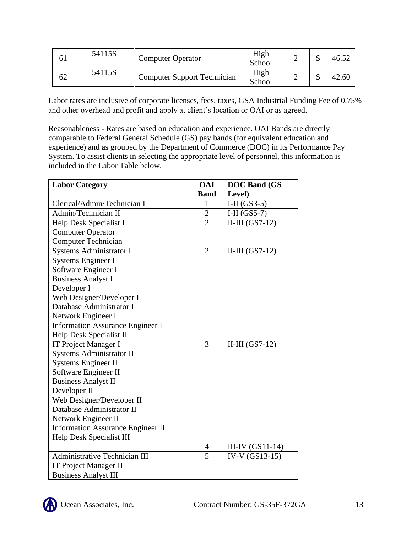| 61 | 54115S | <b>Computer Operator</b>           | High<br>School |  | 46.57 |
|----|--------|------------------------------------|----------------|--|-------|
| 62 | 54115S | <b>Computer Support Technician</b> | High<br>School |  | 42.60 |

Labor rates are inclusive of corporate licenses, fees, taxes, GSA Industrial Funding Fee of 0.75% and other overhead and profit and apply at client's location or OAI or as agreed.

Reasonableness - Rates are based on education and experience. OAI Bands are directly comparable to Federal General Schedule (GS) pay bands (for equivalent education and experience) and as grouped by the Department of Commerce (DOC) in its Performance Pay System. To assist clients in selecting the appropriate level of personnel, this information is included in the Labor Table below.

| <b>Labor Category</b>                    | <b>OAI</b>     | <b>DOC Band (GS</b> |
|------------------------------------------|----------------|---------------------|
|                                          | <b>Band</b>    | Level)              |
| Clerical/Admin/Technician I              | $\mathbf{1}$   | I-II $(GS3-5)$      |
| Admin/Technician II                      | $\overline{2}$ | I-II $(GS5-7)$      |
| Help Desk Specialist I                   | $\overline{2}$ | II-III $(GS7-12)$   |
| <b>Computer Operator</b>                 |                |                     |
| <b>Computer Technician</b>               |                |                     |
| Systems Administrator I                  | $\overline{2}$ | II-III $(GS7-12)$   |
| <b>Systems Engineer I</b>                |                |                     |
| Software Engineer I                      |                |                     |
| <b>Business Analyst I</b>                |                |                     |
| Developer I                              |                |                     |
| Web Designer/Developer I                 |                |                     |
| Database Administrator I                 |                |                     |
| Network Engineer I                       |                |                     |
| <b>Information Assurance Engineer I</b>  |                |                     |
| Help Desk Specialist II                  |                |                     |
| <b>IT Project Manager I</b>              | 3              | II-III $(GS7-12)$   |
| <b>Systems Administrator II</b>          |                |                     |
| <b>Systems Engineer II</b>               |                |                     |
| Software Engineer II                     |                |                     |
| <b>Business Analyst II</b>               |                |                     |
| Developer II                             |                |                     |
| Web Designer/Developer II                |                |                     |
| Database Administrator II                |                |                     |
| Network Engineer II                      |                |                     |
| <b>Information Assurance Engineer II</b> |                |                     |
| Help Desk Specialist III                 |                |                     |
|                                          | 4              | III-IV $(GS11-14)$  |
| <b>Administrative Technician III</b>     | $\overline{5}$ | IV-V $(GS13-15)$    |
| <b>IT Project Manager II</b>             |                |                     |
| <b>Business Analyst III</b>              |                |                     |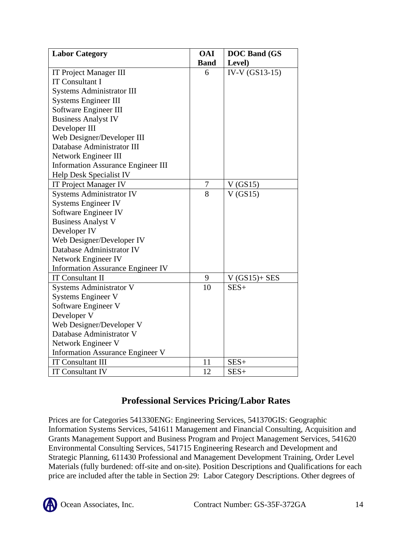| <b>Labor Category</b>                     | <b>OAI</b>     | <b>DOC</b> Band (GS |
|-------------------------------------------|----------------|---------------------|
|                                           | <b>Band</b>    | Level)              |
| <b>IT Project Manager III</b>             | 6              | IV-V $(GS13-15)$    |
| <b>IT Consultant I</b>                    |                |                     |
| <b>Systems Administrator III</b>          |                |                     |
| <b>Systems Engineer III</b>               |                |                     |
| Software Engineer III                     |                |                     |
| <b>Business Analyst IV</b>                |                |                     |
| Developer III                             |                |                     |
| Web Designer/Developer III                |                |                     |
| Database Administrator III                |                |                     |
| Network Engineer III                      |                |                     |
| <b>Information Assurance Engineer III</b> |                |                     |
| Help Desk Specialist IV                   |                |                     |
| <b>IT Project Manager IV</b>              | $\overline{7}$ | V(GS15)             |
| <b>Systems Administrator IV</b>           | 8              | V(GS15)             |
| <b>Systems Engineer IV</b>                |                |                     |
| Software Engineer IV                      |                |                     |
| <b>Business Analyst V</b>                 |                |                     |
| Developer IV                              |                |                     |
| Web Designer/Developer IV                 |                |                     |
| Database Administrator IV                 |                |                     |
| Network Engineer IV                       |                |                     |
| <b>Information Assurance Engineer IV</b>  |                |                     |
| <b>IT Consultant II</b>                   | 9              | $V(GS15) + SES$     |
| <b>Systems Administrator V</b>            | 10             | $SES+$              |
| Systems Engineer V                        |                |                     |
| Software Engineer V                       |                |                     |
| Developer V                               |                |                     |
| Web Designer/Developer V                  |                |                     |
| Database Administrator V                  |                |                     |
| Network Engineer V                        |                |                     |
| <b>Information Assurance Engineer V</b>   |                |                     |
| <b>IT Consultant III</b>                  | 11             | $SES+$              |
| <b>IT Consultant IV</b>                   | 12             | $SES+$              |

## **Professional Services Pricing/Labor Rates**

Prices are for Categories 541330ENG: Engineering Services, 541370GIS: Geographic Information Systems Services, 541611 Management and Financial Consulting, Acquisition and Grants Management Support and Business Program and Project Management Services, 541620 Environmental Consulting Services, 541715 Engineering Research and Development and Strategic Planning, 611430 Professional and Management Development Training, Order Level Materials (fully burdened: off-site and on-site). Position Descriptions and Qualifications for each price are included after the table in Section 29: Labor Category Descriptions. Other degrees of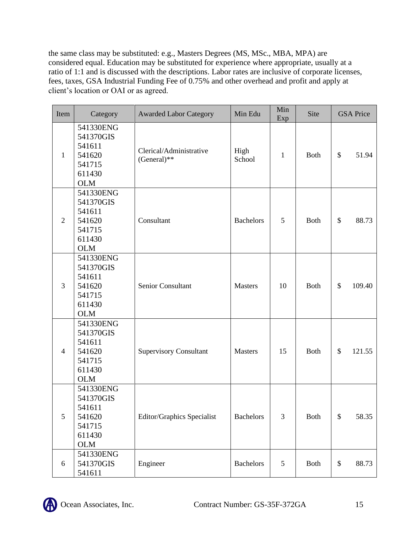the same class may be substituted: e.g., Masters Degrees (MS, MSc., MBA, MPA) are considered equal. Education may be substituted for experience where appropriate, usually at a ratio of 1:1 and is discussed with the descriptions. Labor rates are inclusive of corporate licenses, fees, taxes, GSA Industrial Funding Fee of 0.75% and other overhead and profit and apply at client's location or OAI or as agreed.

| Item           | Category                                                                     | <b>Awarded Labor Category</b>            | Min Edu          | Min<br>Exp    | Site        | <b>GSA Price</b> |
|----------------|------------------------------------------------------------------------------|------------------------------------------|------------------|---------------|-------------|------------------|
| $\mathbf{1}$   | 541330ENG<br>541370GIS<br>541611<br>541620<br>541715<br>611430<br><b>OLM</b> | Clerical/Administrative<br>$(General)**$ | High<br>School   | $\mathbf{1}$  | <b>Both</b> | \$<br>51.94      |
| 2              | 541330ENG<br>541370GIS<br>541611<br>541620<br>541715<br>611430<br><b>OLM</b> | Consultant                               | <b>Bachelors</b> | 5             | <b>Both</b> | \$<br>88.73      |
| $\overline{3}$ | 541330ENG<br>541370GIS<br>541611<br>541620<br>541715<br>611430<br><b>OLM</b> | Senior Consultant                        | <b>Masters</b>   | 10            | <b>Both</b> | \$<br>109.40     |
| $\overline{4}$ | 541330ENG<br>541370GIS<br>541611<br>541620<br>541715<br>611430<br><b>OLM</b> | <b>Supervisory Consultant</b>            | <b>Masters</b>   | 15            | <b>Both</b> | \$<br>121.55     |
| 5              | 541330ENG<br>541370GIS<br>541611<br>541620<br>541715<br>611430<br><b>OLM</b> | Editor/Graphics Specialist               | <b>Bachelors</b> | 3             | <b>Both</b> | \$<br>58.35      |
| 6              | 541330ENG<br>541370GIS<br>541611                                             | Engineer                                 | <b>Bachelors</b> | $\mathfrak s$ | <b>Both</b> | \$<br>88.73      |

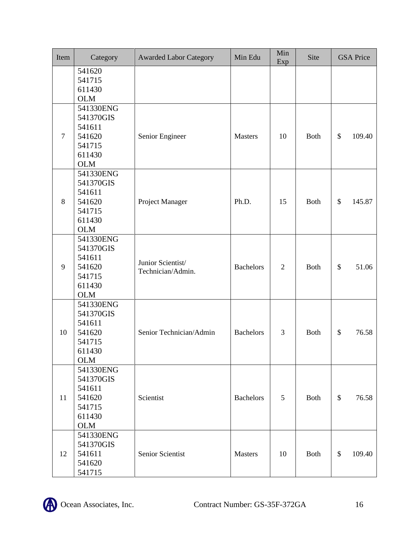| Item           | Category                                                                     | <b>Awarded Labor Category</b>          | Min Edu          | Min<br>Exp     | Site        | <b>GSA</b> Price        |
|----------------|------------------------------------------------------------------------------|----------------------------------------|------------------|----------------|-------------|-------------------------|
|                | 541620<br>541715<br>611430<br><b>OLM</b>                                     |                                        |                  |                |             |                         |
| $\overline{7}$ | 541330ENG<br>541370GIS<br>541611<br>541620<br>541715<br>611430<br><b>OLM</b> | Senior Engineer                        | <b>Masters</b>   | 10             | <b>Both</b> | $\mathcal{S}$<br>109.40 |
| $8\,$          | 541330ENG<br>541370GIS<br>541611<br>541620<br>541715<br>611430<br><b>OLM</b> | Project Manager                        | Ph.D.            | 15             | <b>Both</b> | \$<br>145.87            |
| 9              | 541330ENG<br>541370GIS<br>541611<br>541620<br>541715<br>611430<br><b>OLM</b> | Junior Scientist/<br>Technician/Admin. | <b>Bachelors</b> | $\overline{2}$ | <b>Both</b> | \$<br>51.06             |
| 10             | 541330ENG<br>541370GIS<br>541611<br>541620<br>541715<br>611430<br><b>OLM</b> | Senior Technician/Admin                | <b>Bachelors</b> | 3              | <b>Both</b> | \$<br>76.58             |
| 11             | 541330ENG<br>541370GIS<br>541611<br>541620<br>541715<br>611430<br><b>OLM</b> | Scientist                              | <b>Bachelors</b> | 5              | <b>Both</b> | \$<br>76.58             |
| 12             | 541330ENG<br>541370GIS<br>541611<br>541620<br>541715                         | Senior Scientist                       | Masters          | 10             | <b>Both</b> | \$<br>109.40            |

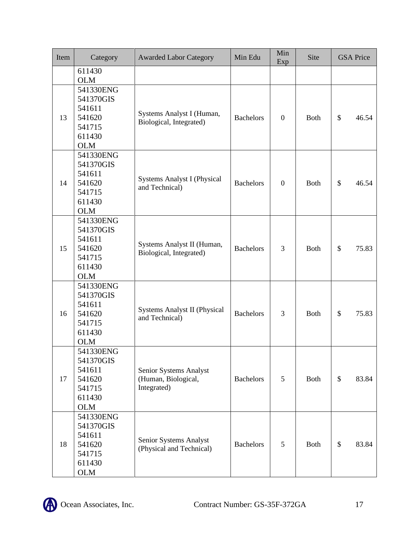| Item | Category                                                                     | <b>Awarded Labor Category</b>                                | Min Edu          | Min<br>Exp       | Site        | <b>GSA Price</b>       |
|------|------------------------------------------------------------------------------|--------------------------------------------------------------|------------------|------------------|-------------|------------------------|
|      | 611430<br><b>OLM</b>                                                         |                                                              |                  |                  |             |                        |
| 13   | 541330ENG<br>541370GIS<br>541611<br>541620<br>541715<br>611430<br><b>OLM</b> | Systems Analyst I (Human,<br>Biological, Integrated)         | <b>Bachelors</b> | $\boldsymbol{0}$ | <b>Both</b> | \$<br>46.54            |
| 14   | 541330ENG<br>541370GIS<br>541611<br>541620<br>541715<br>611430<br><b>OLM</b> | <b>Systems Analyst I (Physical</b><br>and Technical)         | <b>Bachelors</b> | $\overline{0}$   | <b>Both</b> | \$<br>46.54            |
| 15   | 541330ENG<br>541370GIS<br>541611<br>541620<br>541715<br>611430<br><b>OLM</b> | Systems Analyst II (Human,<br>Biological, Integrated)        | <b>Bachelors</b> | 3                | <b>Both</b> | \$<br>75.83            |
| 16   | 541330ENG<br>541370GIS<br>541611<br>541620<br>541715<br>611430<br><b>OLM</b> | <b>Systems Analyst II (Physical</b><br>and Technical)        | <b>Bachelors</b> | 3                | <b>Both</b> | \$<br>75.83            |
| 17   | 541330ENG<br>541370GIS<br>541611<br>541620<br>541715<br>611430<br><b>OLM</b> | Senior Systems Analyst<br>(Human, Biological,<br>Integrated) | <b>Bachelors</b> | 5                | <b>Both</b> | $\mathcal{S}$<br>83.84 |
| 18   | 541330ENG<br>541370GIS<br>541611<br>541620<br>541715<br>611430<br><b>OLM</b> | Senior Systems Analyst<br>(Physical and Technical)           | <b>Bachelors</b> | 5                | <b>Both</b> | \$<br>83.84            |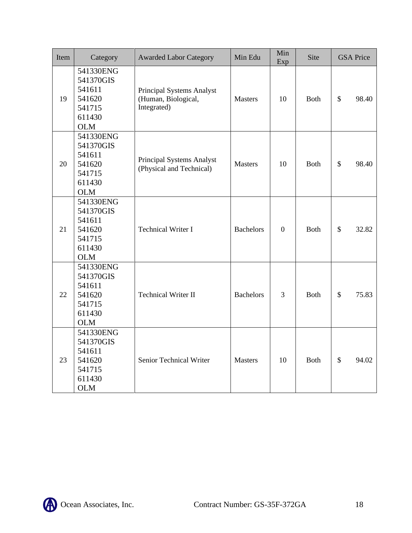| Item | Category                                                                     | <b>Awarded Labor Category</b>                                   | Min Edu          | Min<br>Exp       | Site        |              | <b>GSA Price</b> |
|------|------------------------------------------------------------------------------|-----------------------------------------------------------------|------------------|------------------|-------------|--------------|------------------|
| 19   | 541330ENG<br>541370GIS<br>541611<br>541620<br>541715<br>611430<br><b>OLM</b> | Principal Systems Analyst<br>(Human, Biological,<br>Integrated) | <b>Masters</b>   | 10               | <b>Both</b> | $\mathbb{S}$ | 98.40            |
| 20   | 541330ENG<br>541370GIS<br>541611<br>541620<br>541715<br>611430<br><b>OLM</b> | Principal Systems Analyst<br>(Physical and Technical)           | <b>Masters</b>   | 10               | <b>Both</b> | \$           | 98.40            |
| 21   | 541330ENG<br>541370GIS<br>541611<br>541620<br>541715<br>611430<br><b>OLM</b> | <b>Technical Writer I</b>                                       | <b>Bachelors</b> | $\boldsymbol{0}$ | <b>Both</b> | \$           | 32.82            |
| 22   | 541330ENG<br>541370GIS<br>541611<br>541620<br>541715<br>611430<br><b>OLM</b> | <b>Technical Writer II</b>                                      | <b>Bachelors</b> | $\overline{3}$   | <b>Both</b> | \$           | 75.83            |
| 23   | 541330ENG<br>541370GIS<br>541611<br>541620<br>541715<br>611430<br><b>OLM</b> | Senior Technical Writer                                         | <b>Masters</b>   | 10               | <b>Both</b> | \$           | 94.02            |

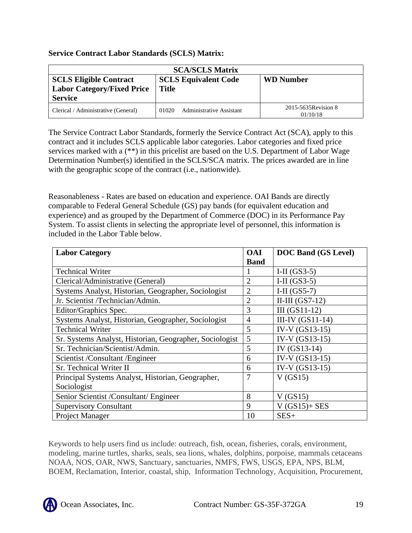## **Service Contract Labor Standards (SCLS) Matrix:**

| <b>SCA/SCLS Matrix</b>              |                                          |                                  |  |
|-------------------------------------|------------------------------------------|----------------------------------|--|
| <b>SCLS Eligible Contract</b>       | <b>SCLS Equivalent Code</b>              | <b>WD</b> Number                 |  |
| <b>Labor Category/Fixed Price</b>   | Title                                    |                                  |  |
| <b>Service</b>                      |                                          |                                  |  |
| Clerical / Administrative (General) | <b>Administrative Assistant</b><br>01020 | 2015-5635 Revision 8<br>01/10/18 |  |

The Service Contract Labor Standards, formerly the Service Contract Act (SCA), apply to this contract and it includes SCLS applicable labor categories. Labor categories and fixed price services marked with a (\*\*) in this pricelist are based on the U.S. Department of Labor Wage Determination Number(s) identified in the SCLS/SCA matrix. The prices awarded are in line with the geographic scope of the contract (i.e., nationwide).

Reasonableness - Rates are based on education and experience. OAI Bands are directly comparable to Federal General Schedule (GS) pay bands (for equivalent education and experience) and as grouped by the Department of Commerce (DOC) in its Performance Pay System. To assist clients in selecting the appropriate level of personnel, this information is included in the Labor Table below.

| <b>Labor Category</b>                                   |                | <b>DOC Band (GS Level)</b> |
|---------------------------------------------------------|----------------|----------------------------|
|                                                         | <b>Band</b>    |                            |
| <b>Technical Writer</b>                                 |                | I-II $(GS3-5)$             |
| Clerical/Administrative (General)                       | $\overline{2}$ | I-II $(GS3-5)$             |
| Systems Analyst, Historian, Geographer, Sociologist     | $\overline{2}$ | I-II $(GS5-7)$             |
| Jr. Scientist /Technician/Admin.                        |                | II-III $(GS7-12)$          |
| Editor/Graphics Spec.                                   | 3              | III $(GS11-12)$            |
| Systems Analyst, Historian, Geographer, Sociologist     | 4              | III-IV $(GS11-14)$         |
| <b>Technical Writer</b>                                 | 5              | $IV-V(GS13-15)$            |
| Sr. Systems Analyst, Historian, Geographer, Sociologist | 5              | $IV-V(GS13-15)$            |
| Sr. Technician/Scientist/Admin.                         | 5              | IV $(GS13-14)$             |
| Scientist /Consultant /Engineer                         |                | $IV-V(GS13-15)$            |
| Sr. Technical Writer II                                 | 6              | $IV-V(GS13-15)$            |
| Principal Systems Analyst, Historian, Geographer,       |                | V(GS15)                    |
| Sociologist                                             |                |                            |
| Senior Scientist /Consultant/ Engineer                  |                | V(GS15)                    |
| <b>Supervisory Consultant</b>                           |                | $V(GS15) + SES$            |
| Project Manager                                         |                | $SES+$                     |

Keywords to help users find us include: outreach, fish, ocean, fisheries, corals, environment, modeling, marine turtles, sharks, seals, sea lions, whales, dolphins, porpoise, mammals cetaceans NOAA, NOS, OAR, NWS, Sanctuary, sanctuaries, NMFS, FWS, USGS, EPA, NPS, BLM, BOEM, Reclamation, Interior, coastal, ship, Information Technology, Acquisition, Procurement,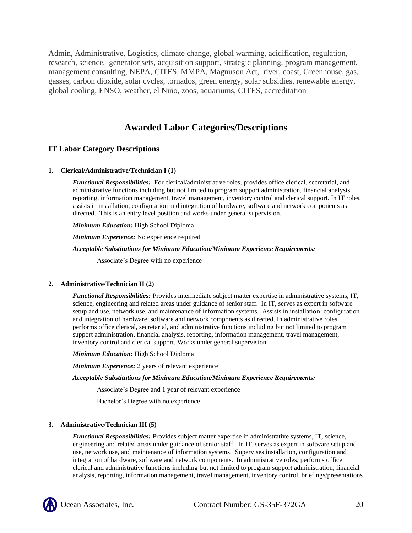Admin, Administrative, Logistics, climate change, global warming, acidification, regulation, research, science, generator sets, acquisition support, strategic planning, program management, management consulting, NEPA, CITES, MMPA, Magnuson Act, river, coast, Greenhouse, gas, gasses, carbon dioxide, solar cycles, tornados, green energy, solar subsidies, renewable energy, global cooling, ENSO, weather, el Niño, zoos, aquariums, CITES, accreditation

## **Awarded Labor Categories/Descriptions**

### <span id="page-19-0"></span>**IT Labor Category Descriptions**

#### **1. Clerical/Administrative/Technician I (1)**

*Functional Responsibilities:* For clerical/administrative roles, provides office clerical, secretarial, and administrative functions including but not limited to program support administration, financial analysis, reporting, information management, travel management, inventory control and clerical support. In IT roles, assists in installation, configuration and integration of hardware, software and network components as directed. This is an entry level position and works under general supervision.

*Minimum Education:* High School Diploma

*Minimum Experience:* No experience required

*Acceptable Substitutions for Minimum Education/Minimum Experience Requirements:*

Associate's Degree with no experience

#### **2. Administrative/Technician II (2)**

*Functional Responsibilities:* Provides intermediate subject matter expertise in administrative systems, IT, science, engineering and related areas under guidance of senior staff. In IT, serves as expert in software setup and use, network use, and maintenance of information systems. Assists in installation, configuration and integration of hardware, software and network components as directed. In administrative roles, performs office clerical, secretarial, and administrative functions including but not limited to program support administration, financial analysis, reporting, information management, travel management, inventory control and clerical support. Works under general supervision.

*Minimum Education:* High School Diploma

*Minimum Experience:* 2 years of relevant experience

*Acceptable Substitutions for Minimum Education/Minimum Experience Requirements:*

Associate's Degree and 1 year of relevant experience

Bachelor's Degree with no experience

#### **3. Administrative/Technician III (5)**

*Functional Responsibilities:* Provides subject matter expertise in administrative systems, IT, science, engineering and related areas under guidance of senior staff. In IT, serves as expert in software setup and use, network use, and maintenance of information systems. Supervises installation, configuration and integration of hardware, software and network components. In administrative roles, performs office clerical and administrative functions including but not limited to program support administration, financial analysis, reporting, information management, travel management, inventory control, briefings/presentations

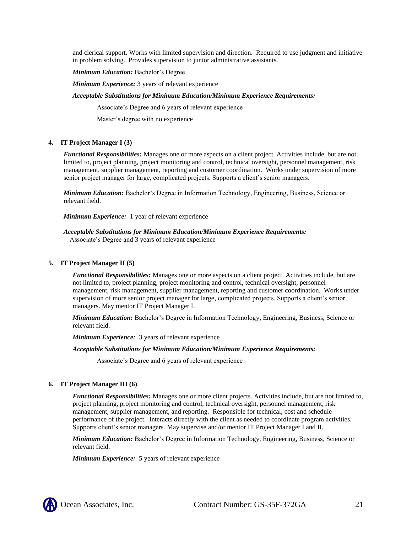and clerical support. Works with limited supervision and direction. Required to use judgment and initiative in problem solving. Provides supervision to junior administrative assistants.

*Minimum Education:* Bachelor's Degree

*Minimum Experience:* 3 years of relevant experience

*Acceptable Substitutions for Minimum Education/Minimum Experience Requirements:*

Associate's Degree and 6 years of relevant experience

Master's degree with no experience

#### **4. IT Project Manager I (3)**

*Functional Responsibilities:* Manages one or more aspects on a client project. Activities include, but are not limited to, project planning, project monitoring and control, technical oversight, personnel management, risk management, supplier management, reporting and customer coordination. Works under supervision of more senior project manager for large, complicated projects. Supports a client's senior managers.

*Minimum Education:* Bachelor's Degree in Information Technology, Engineering, Business, Science or relevant field.

*Minimum Experience:* 1 year of relevant experience

#### *Acceptable Substitutions for Minimum Education/Minimum Experience Requirements:* Associate's Degree and 3 years of relevant experience

#### **5. IT Project Manager II (5)**

*Functional Responsibilities:* Manages one or more aspects on a client project. Activities include, but are not limited to, project planning, project monitoring and control, technical oversight, personnel management, risk management, supplier management, reporting and customer coordination. Works under supervision of more senior project manager for large, complicated projects. Supports a client's senior managers. May mentor IT Project Manager I.

*Minimum Education:* Bachelor's Degree in Information Technology, Engineering, Business, Science or relevant field.

*Minimum Experience:* 3 years of relevant experience

#### *Acceptable Substitutions for Minimum Education/Minimum Experience Requirements:*

Associate's Degree and 6 years of relevant experience

#### **6. IT Project Manager III (6)**

*Functional Responsibilities:* Manages one or more client projects. Activities include, but are not limited to, project planning, project monitoring and control, technical oversight, personnel management, risk management, supplier management, and reporting. Responsible for technical, cost and schedule performance of the project. Interacts directly with the client as needed to coordinate program activities. Supports client's senior managers. May supervise and/or mentor IT Project Manager I and II.

*Minimum Education:* Bachelor's Degree in Information Technology, Engineering, Business, Science or relevant field.

*Minimum Experience:* 5 years of relevant experience

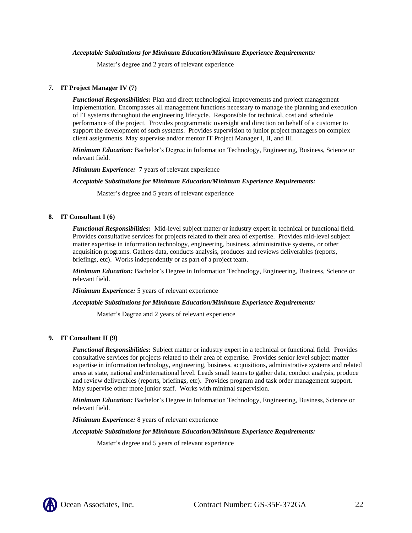#### *Acceptable Substitutions for Minimum Education/Minimum Experience Requirements:*

Master's degree and 2 years of relevant experience

#### **7. IT Project Manager IV (7)**

*Functional Responsibilities:* Plan and direct technological improvements and project management implementation. Encompasses all management functions necessary to manage the planning and execution of IT systems throughout the engineering lifecycle. Responsible for technical, cost and schedule performance of the project. Provides programmatic oversight and direction on behalf of a customer to support the development of such systems. Provides supervision to junior project managers on complex client assignments. May supervise and/or mentor IT Project Manager I, II, and III.

*Minimum Education:* Bachelor's Degree in Information Technology, Engineering, Business, Science or relevant field.

*Minimum Experience:* 7 years of relevant experience

#### *Acceptable Substitutions for Minimum Education/Minimum Experience Requirements:*

Master's degree and 5 years of relevant experience

#### **8. IT Consultant I (6)**

*Functional Responsibilities:*Mid-level subject matter or industry expert in technical or functional field. Provides consultative services for projects related to their area of expertise. Provides mid-level subject matter expertise in information technology, engineering, business, administrative systems, or other acquisition programs. Gathers data, conducts analysis, produces and reviews deliverables (reports, briefings, etc). Works independently or as part of a project team.

*Minimum Education:* Bachelor's Degree in Information Technology, Engineering, Business, Science or relevant field.

*Minimum Experience:* 5 years of relevant experience

#### *Acceptable Substitutions for Minimum Education/Minimum Experience Requirements:*

Master's Degree and 2 years of relevant experience

#### **9. IT Consultant II (9)**

*Functional Responsibilities:* Subject matter or industry expert in a technical or functional field. Provides consultative services for projects related to their area of expertise. Provides senior level subject matter expertise in information technology, engineering, business, acquisitions, administrative systems and related areas at state, national and/international level. Leads small teams to gather data, conduct analysis, produce and review deliverables (reports, briefings, etc). Provides program and task order management support. May supervise other more junior staff. Works with minimal supervision.

*Minimum Education:* Bachelor's Degree in Information Technology, Engineering, Business, Science or relevant field.

*Minimum Experience:* 8 years of relevant experience

#### *Acceptable Substitutions for Minimum Education/Minimum Experience Requirements:*

Master's degree and 5 years of relevant experience

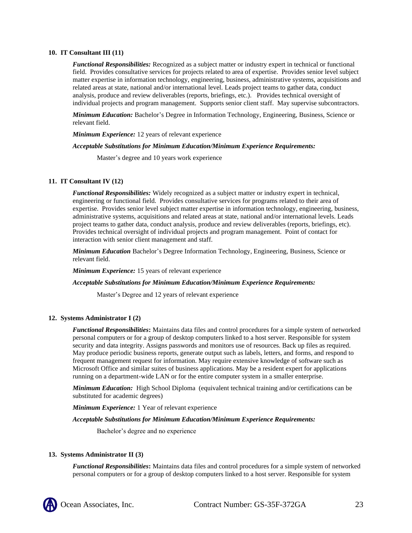#### **10. IT Consultant III (11)**

*Functional Responsibilities:* Recognized as a subject matter or industry expert in technical or functional field. Provides consultative services for projects related to area of expertise. Provides senior level subject matter expertise in information technology, engineering, business, administrative systems, acquisitions and related areas at state, national and/or international level. Leads project teams to gather data, conduct analysis, produce and review deliverables (reports, briefings, etc.). Provides technical oversight of individual projects and program management. Supports senior client staff. May supervise subcontractors.

*Minimum Education:* Bachelor's Degree in Information Technology, Engineering, Business, Science or relevant field.

*Minimum Experience:* 12 years of relevant experience

#### *Acceptable Substitutions for Minimum Education/Minimum Experience Requirements:*

Master's degree and 10 years work experience

#### **11. IT Consultant IV (12)**

*Functional Responsibilities:* Widely recognized as a subject matter or industry expert in technical, engineering or functional field. Provides consultative services for programs related to their area of expertise. Provides senior level subject matter expertise in information technology, engineering, business, administrative systems, acquisitions and related areas at state, national and/or international levels. Leads project teams to gather data, conduct analysis, produce and review deliverables (reports, briefings, etc). Provides technical oversight of individual projects and program management. Point of contact for interaction with senior client management and staff.

*Minimum Education* Bachelor's Degree Information Technology, Engineering, Business, Science or relevant field.

*Minimum Experience:* 15 years of relevant experience

*Acceptable Substitutions for Minimum Education/Minimum Experience Requirements:*

Master's Degree and 12 years of relevant experience

#### **12. Systems Administrator I (2)**

*Functional Responsibilities***:** Maintains data files and control procedures for a simple system of networked personal computers or for a group of desktop computers linked to a host server. Responsible for system security and data integrity. Assigns passwords and monitors use of resources. Back up files as required. May produce periodic business reports, generate output such as labels, letters, and forms, and respond to frequent management request for information. May require extensive knowledge of software such as Microsoft Office and similar suites of business applications. May be a resident expert for applications running on a department-wide LAN or for the entire computer system in a smaller enterprise.

*Minimum Education:* High School Diploma (equivalent technical training and/or certifications can be substituted for academic degrees)

*Minimum Experience:* 1 Year of relevant experience

#### *Acceptable Substitutions for Minimum Education/Minimum Experience Requirements:*

Bachelor's degree and no experience

#### **13. Systems Administrator II (3)**

*Functional Responsibilities***:** Maintains data files and control procedures for a simple system of networked personal computers or for a group of desktop computers linked to a host server. Responsible for system

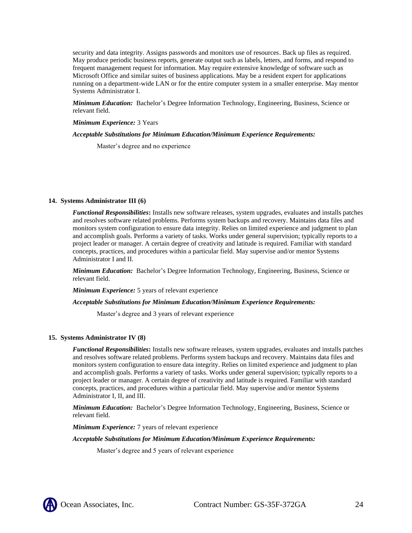security and data integrity. Assigns passwords and monitors use of resources. Back up files as required. May produce periodic business reports, generate output such as labels, letters, and forms, and respond to frequent management request for information. May require extensive knowledge of software such as Microsoft Office and similar suites of business applications. May be a resident expert for applications running on a department-wide LAN or for the entire computer system in a smaller enterprise. May mentor Systems Administrator I.

*Minimum Education:* Bachelor's Degree Information Technology, Engineering, Business, Science or relevant field.

*Minimum Experience:* 3 Years

*Acceptable Substitutions for Minimum Education/Minimum Experience Requirements:*

Master's degree and no experience

#### **14. Systems Administrator III (6)**

*Functional Responsibilities***:** Installs new software releases, system upgrades, evaluates and installs patches and resolves software related problems. Performs system backups and recovery. Maintains data files and monitors system configuration to ensure data integrity. Relies on limited experience and judgment to plan and accomplish goals. Performs a variety of tasks. Works under general supervision; typically reports to a project leader or manager. A certain degree of creativity and latitude is required. Familiar with standard concepts, practices, and procedures within a particular field. May supervise and/or mentor Systems Administrator I and II.

*Minimum Education:* Bachelor's Degree Information Technology, Engineering, Business, Science or relevant field.

*Minimum Experience:* 5 years of relevant experience

#### *Acceptable Substitutions for Minimum Education/Minimum Experience Requirements:*

Master's degree and 3 years of relevant experience

#### **15. Systems Administrator IV (8)**

*Functional Responsibilities***:** Installs new software releases, system upgrades, evaluates and installs patches and resolves software related problems. Performs system backups and recovery. Maintains data files and monitors system configuration to ensure data integrity. Relies on limited experience and judgment to plan and accomplish goals. Performs a variety of tasks. Works under general supervision; typically reports to a project leader or manager. A certain degree of creativity and latitude is required. Familiar with standard concepts, practices, and procedures within a particular field. May supervise and/or mentor Systems Administrator I, II, and III.

*Minimum Education:* Bachelor's Degree Information Technology, Engineering, Business, Science or relevant field.

*Minimum Experience:* 7 years of relevant experience

#### *Acceptable Substitutions for Minimum Education/Minimum Experience Requirements:*

Master's degree and 5 years of relevant experience

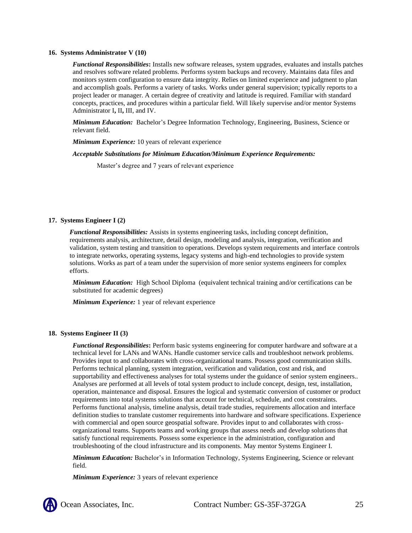#### **16. Systems Administrator V (10)**

*Functional Responsibilities***:** Installs new software releases, system upgrades, evaluates and installs patches and resolves software related problems. Performs system backups and recovery. Maintains data files and monitors system configuration to ensure data integrity. Relies on limited experience and judgment to plan and accomplish goals. Performs a variety of tasks. Works under general supervision; typically reports to a project leader or manager. A certain degree of creativity and latitude is required. Familiar with standard concepts, practices, and procedures within a particular field. Will likely supervise and/or mentor Systems Administrator I**,** II**,** III, and IV.

*Minimum Education:* Bachelor's Degree Information Technology, Engineering, Business, Science or relevant field.

*Minimum Experience:* 10 years of relevant experience

*Acceptable Substitutions for Minimum Education/Minimum Experience Requirements:*

Master's degree and 7 years of relevant experience

#### **17. Systems Engineer I (2)**

*Functional Responsibilities:* Assists in systems engineering tasks, including concept definition, requirements analysis, architecture, detail design, modeling and analysis, integration, verification and validation, system testing and transition to operations. Develops system requirements and interface controls to integrate networks, operating systems, legacy systems and high-end technologies to provide system solutions. Works as part of a team under the supervision of more senior systems engineers for complex efforts.

*Minimum Education:* High School Diploma (equivalent technical training and/or certifications can be substituted for academic degrees)

*Minimum Experience:* 1 year of relevant experience

#### **18. Systems Engineer II (3)**

*Functional Responsibilities***:** Perform basic systems engineering for computer hardware and software at a technical level for LANs and WANs. Handle customer service calls and troubleshoot network problems. Provides input to and collaborates with cross-organizational teams. Possess good communication skills. Performs technical planning, system integration, verification and validation, cost and risk, and supportability and effectiveness analyses for total systems under the guidance of senior system engineers.. Analyses are performed at all levels of total system product to include concept, design, test, installation, operation, maintenance and disposal. Ensures the logical and systematic conversion of customer or product requirements into total systems solutions that account for technical, schedule, and cost constraints. Performs functional analysis, timeline analysis, detail trade studies, requirements allocation and interface definition studies to translate customer requirements into hardware and software specifications. Experience with commercial and open source geospatial software. Provides input to and collaborates with crossorganizational teams. Supports teams and working groups that assess needs and develop solutions that satisfy functional requirements. Possess some experience in the administration, configuration and troubleshooting of the cloud infrastructure and its components. May mentor Systems Engineer I.

*Minimum Education:* Bachelor's in Information Technology, Systems Engineering, Science or relevant field.

*Minimum Experience:* 3 years of relevant experience

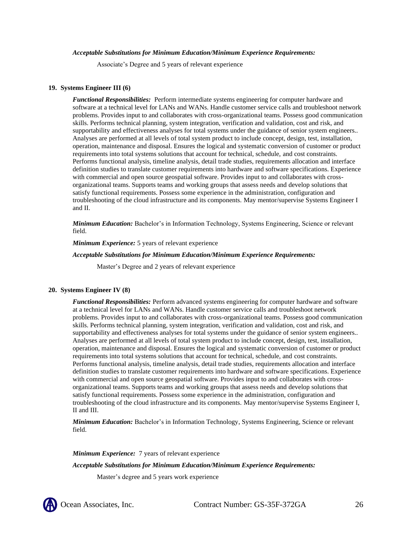#### *Acceptable Substitutions for Minimum Education/Minimum Experience Requirements:*

Associate's Degree and 5 years of relevant experience

#### **19. Systems Engineer III (6)**

*Functional Responsibilities:* Perform intermediate systems engineering for computer hardware and software at a technical level for LANs and WANs. Handle customer service calls and troubleshoot network problems. Provides input to and collaborates with cross-organizational teams. Possess good communication skills. Performs technical planning, system integration, verification and validation, cost and risk, and supportability and effectiveness analyses for total systems under the guidance of senior system engineers.. Analyses are performed at all levels of total system product to include concept, design, test, installation, operation, maintenance and disposal. Ensures the logical and systematic conversion of customer or product requirements into total systems solutions that account for technical, schedule, and cost constraints. Performs functional analysis, timeline analysis, detail trade studies, requirements allocation and interface definition studies to translate customer requirements into hardware and software specifications. Experience with commercial and open source geospatial software. Provides input to and collaborates with crossorganizational teams. Supports teams and working groups that assess needs and develop solutions that satisfy functional requirements. Possess some experience in the administration, configuration and troubleshooting of the cloud infrastructure and its components. May mentor/supervise Systems Engineer I and II.

*Minimum Education:* Bachelor's in Information Technology, Systems Engineering, Science or relevant field.

*Minimum Experience:* 5 years of relevant experience

#### *Acceptable Substitutions for Minimum Education/Minimum Experience Requirements:*

Master's Degree and 2 years of relevant experience

#### **20. Systems Engineer IV (8)**

*Functional Responsibilities:* Perform advanced systems engineering for computer hardware and software at a technical level for LANs and WANs. Handle customer service calls and troubleshoot network problems. Provides input to and collaborates with cross-organizational teams. Possess good communication skills. Performs technical planning, system integration, verification and validation, cost and risk, and supportability and effectiveness analyses for total systems under the guidance of senior system engineers.. Analyses are performed at all levels of total system product to include concept, design, test, installation, operation, maintenance and disposal. Ensures the logical and systematic conversion of customer or product requirements into total systems solutions that account for technical, schedule, and cost constraints. Performs functional analysis, timeline analysis, detail trade studies, requirements allocation and interface definition studies to translate customer requirements into hardware and software specifications. Experience with commercial and open source geospatial software. Provides input to and collaborates with crossorganizational teams. Supports teams and working groups that assess needs and develop solutions that satisfy functional requirements. Possess some experience in the administration, configuration and troubleshooting of the cloud infrastructure and its components. May mentor/supervise Systems Engineer I, II and III.

*Minimum Education:* Bachelor's in Information Technology, Systems Engineering, Science or relevant field.

*Minimum Experience:* 7 years of relevant experience

*Acceptable Substitutions for Minimum Education/Minimum Experience Requirements:*

Master's degree and 5 years work experience

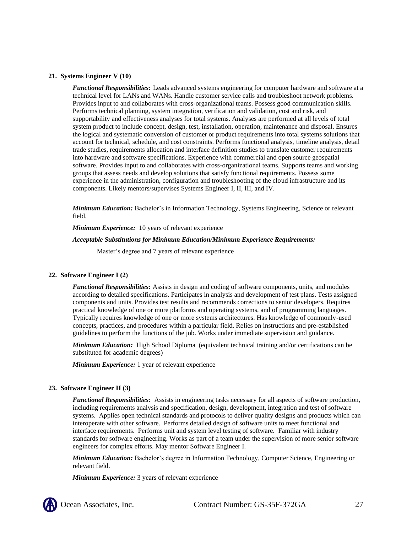#### **21. Systems Engineer V (10)**

*Functional Responsibilities:* Leads advanced systems engineering for computer hardware and software at a technical level for LANs and WANs. Handle customer service calls and troubleshoot network problems. Provides input to and collaborates with cross-organizational teams. Possess good communication skills. Performs technical planning, system integration, verification and validation, cost and risk, and supportability and effectiveness analyses for total systems. Analyses are performed at all levels of total system product to include concept, design, test, installation, operation, maintenance and disposal. Ensures the logical and systematic conversion of customer or product requirements into total systems solutions that account for technical, schedule, and cost constraints. Performs functional analysis, timeline analysis, detail trade studies, requirements allocation and interface definition studies to translate customer requirements into hardware and software specifications. Experience with commercial and open source geospatial software. Provides input to and collaborates with cross-organizational teams. Supports teams and working groups that assess needs and develop solutions that satisfy functional requirements. Possess some experience in the administration, configuration and troubleshooting of the cloud infrastructure and its components. Likely mentors/supervises Systems Engineer I, II, III, and IV.

*Minimum Education:* Bachelor's in Information Technology, Systems Engineering, Science or relevant field.

*Minimum Experience:* 10 years of relevant experience

#### *Acceptable Substitutions for Minimum Education/Minimum Experience Requirements:*

Master's degree and 7 years of relevant experience

#### **22. Software Engineer I (2)**

*Functional Responsibilities***:** Assists in design and coding of software components, units, and modules according to detailed specifications. Participates in analysis and development of test plans. Tests assigned components and units. Provides test results and recommends corrections to senior developers. Requires practical knowledge of one or more platforms and operating systems, and of programming languages. Typically requires knowledge of one or more systems architectures. Has knowledge of commonly-used concepts, practices, and procedures within a particular field. Relies on instructions and pre-established guidelines to perform the functions of the job. Works under immediate supervision and guidance.

*Minimum Education:* High School Diploma (equivalent technical training and/or certifications can be substituted for academic degrees)

*Minimum Experience:* 1 year of relevant experience

#### **23. Software Engineer II (3)**

*Functional Responsibilities:* Assists in engineering tasks necessary for all aspects of software production, including requirements analysis and specification, design, development, integration and test of software systems. Applies open technical standards and protocols to deliver quality designs and products which can interoperate with other software. Performs detailed design of software units to meet functional and interface requirements. Performs unit and system level testing of software. Familiar with industry standards for software engineering. Works as part of a team under the supervision of more senior software engineers for complex efforts. May mentor Software Engineer I.

*Minimum Education:* Bachelor's degree in Information Technology, Computer Science, Engineering or relevant field.

*Minimum Experience:* 3 years of relevant experience

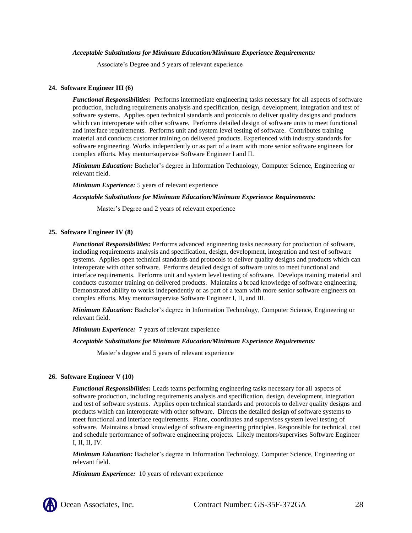#### *Acceptable Substitutions for Minimum Education/Minimum Experience Requirements:*

Associate's Degree and 5 years of relevant experience

#### **24. Software Engineer III (6)**

*Functional Responsibilities:* Performs intermediate engineering tasks necessary for all aspects of software production, including requirements analysis and specification, design, development, integration and test of software systems. Applies open technical standards and protocols to deliver quality designs and products which can interoperate with other software. Performs detailed design of software units to meet functional and interface requirements. Performs unit and system level testing of software. Contributes training material and conducts customer training on delivered products. Experienced with industry standards for software engineering. Works independently or as part of a team with more senior software engineers for complex efforts. May mentor/supervise Software Engineer I and II.

*Minimum Education:* Bachelor's degree in Information Technology, Computer Science, Engineering or relevant field.

*Minimum Experience:* 5 years of relevant experience

#### *Acceptable Substitutions for Minimum Education/Minimum Experience Requirements:*

Master's Degree and 2 years of relevant experience

#### **25. Software Engineer IV (8)**

*Functional Responsibilities:* Performs advanced engineering tasks necessary for production of software, including requirements analysis and specification, design, development, integration and test of software systems. Applies open technical standards and protocols to deliver quality designs and products which can interoperate with other software. Performs detailed design of software units to meet functional and interface requirements. Performs unit and system level testing of software. Develops training material and conducts customer training on delivered products. Maintains a broad knowledge of software engineering. Demonstrated ability to works independently or as part of a team with more senior software engineers on complex efforts. May mentor/supervise Software Engineer I, II, and III.

*Minimum Education:* Bachelor's degree in Information Technology, Computer Science, Engineering or relevant field.

*Minimum Experience:* 7 years of relevant experience

#### *Acceptable Substitutions for Minimum Education/Minimum Experience Requirements:*

Master's degree and 5 years of relevant experience

#### **26. Software Engineer V (10)**

*Functional Responsibilities:* Leads teams performing engineering tasks necessary for all aspects of software production, including requirements analysis and specification, design, development, integration and test of software systems. Applies open technical standards and protocols to deliver quality designs and products which can interoperate with other software. Directs the detailed design of software systems to meet functional and interface requirements. Plans, coordinates and supervises system level testing of software. Maintains a broad knowledge of software engineering principles. Responsible for technical, cost and schedule performance of software engineering projects. Likely mentors/supervises Software Engineer I, II, II, IV.

*Minimum Education:* Bachelor's degree in Information Technology, Computer Science, Engineering or relevant field.

*Minimum Experience:* 10 years of relevant experience

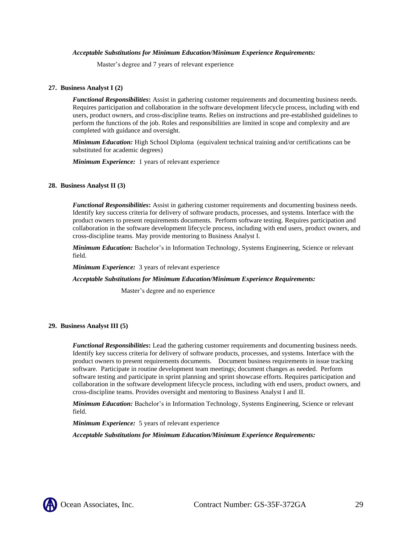#### *Acceptable Substitutions for Minimum Education/Minimum Experience Requirements:*

Master's degree and 7 years of relevant experience

#### **27. Business Analyst I (2)**

*Functional Responsibilities***:** Assist in gathering customer requirements and documenting business needs. Requires participation and collaboration in the software development lifecycle process, including with end users, product owners, and cross-discipline teams. Relies on instructions and pre-established guidelines to perform the functions of the job. Roles and responsibilities are limited in scope and complexity and are completed with guidance and oversight.

*Minimum Education:* High School Diploma (equivalent technical training and/or certifications can be substituted for academic degrees)

*Minimum Experience:* 1 years of relevant experience

#### **28. Business Analyst II (3)**

*Functional Responsibilities***:** Assist in gathering customer requirements and documenting business needs. Identify key success criteria for delivery of software products, processes, and systems. Interface with the product owners to present requirements documents. Perform software testing. Requires participation and collaboration in the software development lifecycle process, including with end users, product owners, and cross-discipline teams. May provide mentoring to Business Analyst I.

*Minimum Education:* Bachelor's in Information Technology, Systems Engineering, Science or relevant field.

*Minimum Experience:* 3 years of relevant experience

*Acceptable Substitutions for Minimum Education/Minimum Experience Requirements:*

Master's degree and no experience

#### **29. Business Analyst III (5)**

*Functional Responsibilities***:** Lead the gathering customer requirements and documenting business needs. Identify key success criteria for delivery of software products, processes, and systems. Interface with the product owners to present requirements documents. Document business requirements in issue tracking software. Participate in routine development team meetings; document changes as needed. Perform software testing and participate in sprint planning and sprint showcase efforts. Requires participation and collaboration in the software development lifecycle process, including with end users, product owners, and cross-discipline teams. Provides oversight and mentoring to Business Analyst I and II.

*Minimum Education:* Bachelor's in Information Technology, Systems Engineering, Science or relevant field.

*Minimum Experience:* 5 years of relevant experience

*Acceptable Substitutions for Minimum Education/Minimum Experience Requirements:*

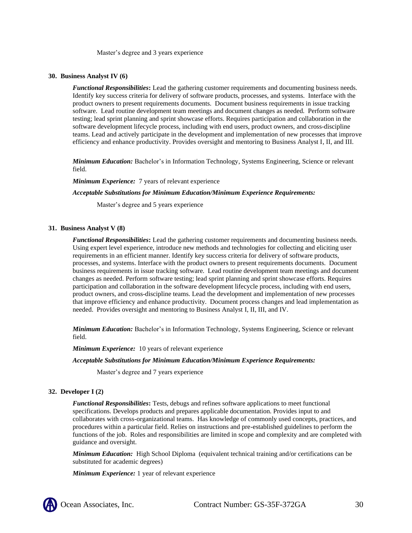Master's degree and 3 years experience

#### **30. Business Analyst IV (6)**

*Functional Responsibilities***:** Lead the gathering customer requirements and documenting business needs. Identify key success criteria for delivery of software products, processes, and systems. Interface with the product owners to present requirements documents. Document business requirements in issue tracking software. Lead routine development team meetings and document changes as needed. Perform software testing; lead sprint planning and sprint showcase efforts. Requires participation and collaboration in the software development lifecycle process, including with end users, product owners, and cross-discipline teams. Lead and actively participate in the development and implementation of new processes that improve efficiency and enhance productivity. Provides oversight and mentoring to Business Analyst I, II, and III.

*Minimum Education:* Bachelor's in Information Technology, Systems Engineering, Science or relevant field.

*Minimum Experience:* 7 years of relevant experience

#### *Acceptable Substitutions for Minimum Education/Minimum Experience Requirements:*

Master's degree and 5 years experience

#### **31. Business Analyst V (8)**

*Functional Responsibilities***:** Lead the gathering customer requirements and documenting business needs. Using expert level experience, introduce new methods and technologies for collecting and eliciting user requirements in an efficient manner. Identify key success criteria for delivery of software products, processes, and systems. Interface with the product owners to present requirements documents. Document business requirements in issue tracking software. Lead routine development team meetings and document changes as needed. Perform software testing; lead sprint planning and sprint showcase efforts. Requires participation and collaboration in the software development lifecycle process, including with end users, product owners, and cross-discipline teams. Lead the development and implementation of new processes that improve efficiency and enhance productivity. Document process changes and lead implementation as needed. Provides oversight and mentoring to Business Analyst I, II, III, and IV.

*Minimum Education:* Bachelor's in Information Technology, Systems Engineering, Science or relevant field.

*Minimum Experience:* 10 years of relevant experience

#### *Acceptable Substitutions for Minimum Education/Minimum Experience Requirements:*

Master's degree and 7 years experience

#### **32. Developer I (2)**

*Functional Responsibilities***:** Tests, debugs and refines software applications to meet functional specifications. Develops products and prepares applicable documentation. Provides input to and collaborates with cross-organizational teams. Has knowledge of commonly used concepts, practices, and procedures within a particular field. Relies on instructions and pre-established guidelines to perform the functions of the job. Roles and responsibilities are limited in scope and complexity and are completed with guidance and oversight.

*Minimum Education:* High School Diploma (equivalent technical training and/or certifications can be substituted for academic degrees)

*Minimum Experience:* 1 year of relevant experience

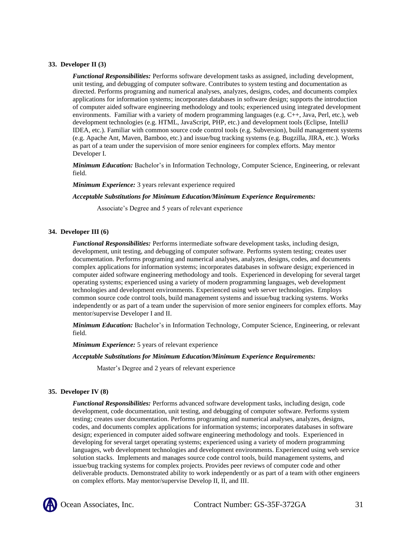#### **33. Developer II (3)**

*Functional Responsibilities:* Performs software development tasks as assigned, including development, unit testing, and debugging of computer software. Contributes to system testing and documentation as directed. Performs programing and numerical analyses, analyzes, designs, codes, and documents complex applications for information systems; incorporates databases in software design; supports the introduction of computer aided software engineering methodology and tools; experienced using integrated development environments. Familiar with a variety of modern programming languages (e.g. C++, Java, Perl, etc.), web development technologies (e.g. HTML, JavaScript, PHP, etc.) and development tools (Eclipse, IntelliJ IDEA, etc.). Familiar with common source code control tools (e.g. Subversion), build management systems (e.g. Apache Ant, Maven, Bamboo, etc.) and issue/bug tracking systems (e.g. Bugzilla, JIRA, etc.). Works as part of a team under the supervision of more senior engineers for complex efforts. May mentor Developer I.

*Minimum Education:* Bachelor's in Information Technology, Computer Science, Engineering, or relevant field.

*Minimum Experience:* 3 years relevant experience required

#### *Acceptable Substitutions for Minimum Education/Minimum Experience Requirements:*

Associate's Degree and 5 years of relevant experience

#### **34. Developer III (6)**

*Functional Responsibilities:* Performs intermediate software development tasks, including design, development, unit testing, and debugging of computer software. Performs system testing; creates user documentation. Performs programing and numerical analyses, analyzes, designs, codes, and documents complex applications for information systems; incorporates databases in software design; experienced in computer aided software engineering methodology and tools. Experienced in developing for several target operating systems; experienced using a variety of modern programming languages, web development technologies and development environments. Experienced using web server technologies. Employs common source code control tools, build management systems and issue/bug tracking systems. Works independently or as part of a team under the supervision of more senior engineers for complex efforts. May mentor/supervise Developer I and II.

*Minimum Education:* Bachelor's in Information Technology, Computer Science, Engineering, or relevant field.

*Minimum Experience:* 5 years of relevant experience

*Acceptable Substitutions for Minimum Education/Minimum Experience Requirements:*

Master's Degree and 2 years of relevant experience

#### **35. Developer IV (8)**

*Functional Responsibilities:* Performs advanced software development tasks, including design, code development, code documentation, unit testing, and debugging of computer software. Performs system testing; creates user documentation. Performs programing and numerical analyses, analyzes, designs, codes, and documents complex applications for information systems; incorporates databases in software design; experienced in computer aided software engineering methodology and tools. Experienced in developing for several target operating systems; experienced using a variety of modern programming languages, web development technologies and development environments. Experienced using web service solution stacks. Implements and manages source code control tools, build management systems, and issue/bug tracking systems for complex projects. Provides peer reviews of computer code and other deliverable products. Demonstrated ability to work independently or as part of a team with other engineers on complex efforts. May mentor/supervise Develop II, II, and III.

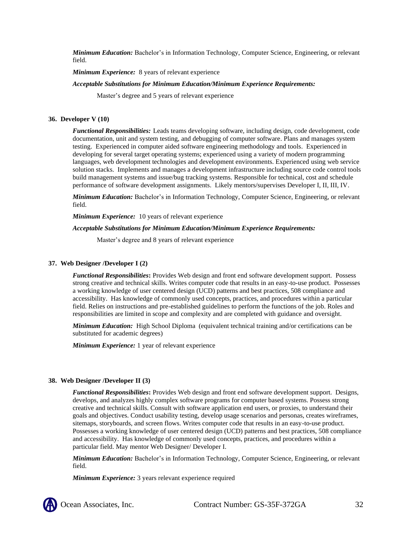*Minimum Education:* Bachelor's in Information Technology, Computer Science, Engineering, or relevant field.

*Minimum Experience:* 8 years of relevant experience

*Acceptable Substitutions for Minimum Education/Minimum Experience Requirements:*

Master's degree and 5 years of relevant experience

#### **36. Developer V (10)**

*Functional Responsibilities:* Leads teams developing software, including design, code development, code documentation, unit and system testing, and debugging of computer software. Plans and manages system testing. Experienced in computer aided software engineering methodology and tools. Experienced in developing for several target operating systems; experienced using a variety of modern programming languages, web development technologies and development environments. Experienced using web service solution stacks. Implements and manages a development infrastructure including source code control tools build management systems and issue/bug tracking systems. Responsible for technical, cost and schedule performance of software development assignments. Likely mentors/supervises Developer I, II, III, IV.

*Minimum Education:* Bachelor's in Information Technology, Computer Science, Engineering, or relevant field.

*Minimum Experience:* 10 years of relevant experience

#### *Acceptable Substitutions for Minimum Education/Minimum Experience Requirements:*

Master's degree and 8 years of relevant experience

#### **37. Web Designer /Developer I (2)**

*Functional Responsibilities***:** Provides Web design and front end software development support. Possess strong creative and technical skills. Writes computer code that results in an easy-to-use product. Possesses a working knowledge of user centered design (UCD) patterns and best practices, 508 compliance and accessibility. Has knowledge of commonly used concepts, practices, and procedures within a particular field. Relies on instructions and pre-established guidelines to perform the functions of the job. Roles and responsibilities are limited in scope and complexity and are completed with guidance and oversight.

*Minimum Education:* High School Diploma (equivalent technical training and/or certifications can be substituted for academic degrees)

*Minimum Experience:* 1 year of relevant experience

#### **38. Web Designer /Developer II (3)**

*Functional Responsibilities***:** Provides Web design and front end software development support. Designs, develops, and analyzes highly complex software programs for computer based systems. Possess strong creative and technical skills. Consult with software application end users, or proxies, to understand their goals and objectives. Conduct usability testing, develop usage scenarios and personas, creates wireframes, sitemaps, storyboards, and screen flows. Writes computer code that results in an easy-to-use product. Possesses a working knowledge of user centered design (UCD) patterns and best practices, 508 compliance and accessibility. Has knowledge of commonly used concepts, practices, and procedures within a particular field. May mentor Web Designer/ Developer I.

*Minimum Education:* Bachelor's in Information Technology, Computer Science, Engineering, or relevant field.

*Minimum Experience:* 3 years relevant experience required

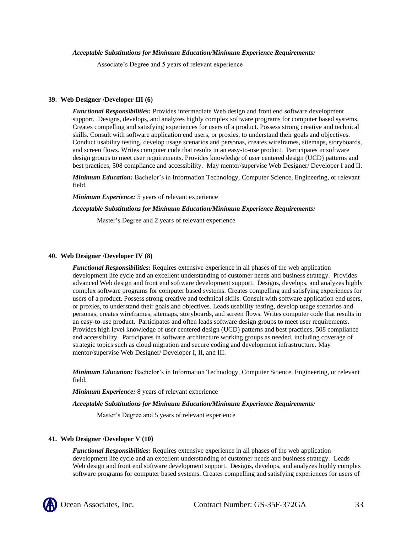#### *Acceptable Substitutions for Minimum Education/Minimum Experience Requirements:*

Associate's Degree and 5 years of relevant experience

#### **39. Web Designer /Developer III (6)**

*Functional Responsibilities***:** Provides intermediate Web design and front end software development support. Designs, develops, and analyzes highly complex software programs for computer based systems. Creates compelling and satisfying experiences for users of a product. Possess strong creative and technical skills. Consult with software application end users, or proxies, to understand their goals and objectives. Conduct usability testing, develop usage scenarios and personas, creates wireframes, sitemaps, storyboards, and screen flows. Writes computer code that results in an easy-to-use product. Participates in software design groups to meet user requirements. Provides knowledge of user centered design (UCD) patterns and best practices, 508 compliance and accessibility. May mentor/supervise Web Designer/ Developer I and II.

*Minimum Education:* Bachelor's in Information Technology, Computer Science, Engineering, or relevant field.

*Minimum Experience:* 5 years of relevant experience

#### *Acceptable Substitutions for Minimum Education/Minimum Experience Requirements:*

Master's Degree and 2 years of relevant experience

#### **40. Web Designer /Developer IV (8)**

*Functional Responsibilities***:** Requires extensive experience in all phases of the web application development life cycle and an excellent understanding of customer needs and business strategy. Provides advanced Web design and front end software development support. Designs, develops, and analyzes highly complex software programs for computer based systems. Creates compelling and satisfying experiences for users of a product. Possess strong creative and technical skills. Consult with software application end users, or proxies, to understand their goals and objectives. Leads usability testing, develop usage scenarios and personas, creates wireframes, sitemaps, storyboards, and screen flows. Writes computer code that results in an easy-to-use product. Participates and often leads software design groups to meet user requirements. Provides high level knowledge of user centered design (UCD) patterns and best practices, 508 compliance and accessibility. Participates in software architecture working groups as needed, including coverage of strategic topics such as cloud migration and secure coding and development infrastructure. May mentor/supervise Web Designer/ Developer I, II, and III.

*Minimum Education:* Bachelor's in Information Technology, Computer Science, Engineering, or relevant field.

*Minimum Experience:* 8 years of relevant experience

*Acceptable Substitutions for Minimum Education/Minimum Experience Requirements:*

Master's Degree and 5 years of relevant experience

#### **41. Web Designer /Developer V (10)**

*Functional Responsibilities***:** Requires extensive experience in all phases of the web application development life cycle and an excellent understanding of customer needs and business strategy. Leads Web design and front end software development support. Designs, develops, and analyzes highly complex software programs for computer based systems. Creates compelling and satisfying experiences for users of

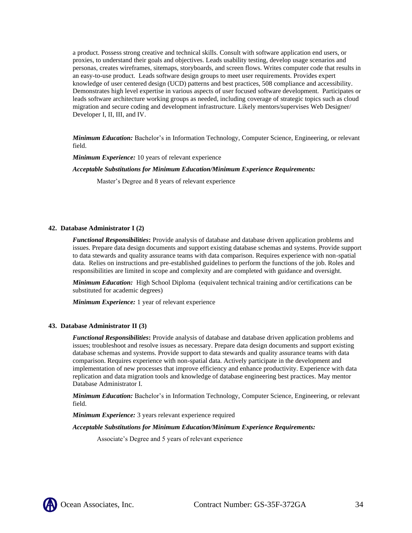a product. Possess strong creative and technical skills. Consult with software application end users, or proxies, to understand their goals and objectives. Leads usability testing, develop usage scenarios and personas, creates wireframes, sitemaps, storyboards, and screen flows. Writes computer code that results in an easy-to-use product. Leads software design groups to meet user requirements. Provides expert knowledge of user centered design (UCD) patterns and best practices, 508 compliance and accessibility. Demonstrates high level expertise in various aspects of user focused software development. Participates or leads software architecture working groups as needed, including coverage of strategic topics such as cloud migration and secure coding and development infrastructure. Likely mentors/supervises Web Designer/ Developer I, II, III, and IV.

*Minimum Education:* Bachelor's in Information Technology, Computer Science, Engineering, or relevant field.

*Minimum Experience:* 10 years of relevant experience

*Acceptable Substitutions for Minimum Education/Minimum Experience Requirements:*

Master's Degree and 8 years of relevant experience

#### **42. Database Administrator I (2)**

*Functional Responsibilities***:** Provide analysis of database and database driven application problems and issues. Prepare data design documents and support existing database schemas and systems. Provide support to data stewards and quality assurance teams with data comparison. Requires experience with non-spatial data. Relies on instructions and pre-established guidelines to perform the functions of the job. Roles and responsibilities are limited in scope and complexity and are completed with guidance and oversight.

*Minimum Education:* High School Diploma (equivalent technical training and/or certifications can be substituted for academic degrees)

*Minimum Experience:* 1 year of relevant experience

#### **43. Database Administrator II (3)**

*Functional Responsibilities***:** Provide analysis of database and database driven application problems and issues; troubleshoot and resolve issues as necessary. Prepare data design documents and support existing database schemas and systems. Provide support to data stewards and quality assurance teams with data comparison. Requires experience with non-spatial data. Actively participate in the development and implementation of new processes that improve efficiency and enhance productivity. Experience with data replication and data migration tools and knowledge of database engineering best practices. May mentor Database Administrator I.

*Minimum Education:* Bachelor's in Information Technology, Computer Science, Engineering, or relevant field.

*Minimum Experience:* 3 years relevant experience required

*Acceptable Substitutions for Minimum Education/Minimum Experience Requirements:*

Associate's Degree and 5 years of relevant experience

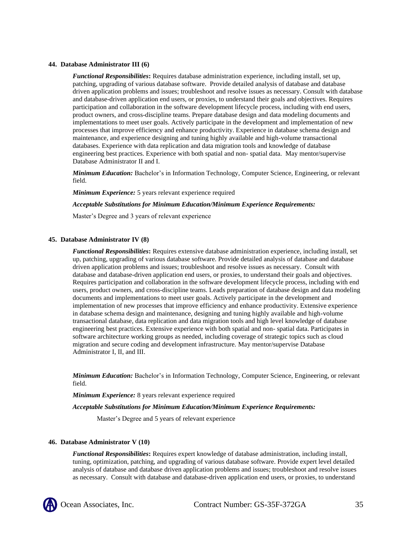#### **44. Database Administrator III (6)**

*Functional Responsibilities***:** Requires database administration experience, including install, set up, patching, upgrading of various database software. Provide detailed analysis of database and database driven application problems and issues; troubleshoot and resolve issues as necessary. Consult with database and database-driven application end users, or proxies, to understand their goals and objectives. Requires participation and collaboration in the software development lifecycle process, including with end users, product owners, and cross-discipline teams. Prepare database design and data modeling documents and implementations to meet user goals. Actively participate in the development and implementation of new processes that improve efficiency and enhance productivity. Experience in database schema design and maintenance, and experience designing and tuning highly available and high-volume transactional databases. Experience with data replication and data migration tools and knowledge of database engineering best practices. Experience with both spatial and non- spatial data. May mentor/supervise Database Administrator II and I.

*Minimum Education:* Bachelor's in Information Technology, Computer Science, Engineering, or relevant field.

*Minimum Experience:* 5 years relevant experience required

#### *Acceptable Substitutions for Minimum Education/Minimum Experience Requirements:*

Master's Degree and 3 years of relevant experience

#### **45. Database Administrator IV (8)**

*Functional Responsibilities***:** Requires extensive database administration experience, including install, set up, patching, upgrading of various database software. Provide detailed analysis of database and database driven application problems and issues; troubleshoot and resolve issues as necessary. Consult with database and database-driven application end users, or proxies, to understand their goals and objectives. Requires participation and collaboration in the software development lifecycle process, including with end users, product owners, and cross-discipline teams. Leads preparation of database design and data modeling documents and implementations to meet user goals. Actively participate in the development and implementation of new processes that improve efficiency and enhance productivity. Extensive experience in database schema design and maintenance, designing and tuning highly available and high-volume transactional database, data replication and data migration tools and high level knowledge of database engineering best practices. Extensive experience with both spatial and non- spatial data. Participates in software architecture working groups as needed, including coverage of strategic topics such as cloud migration and secure coding and development infrastructure. May mentor/supervise Database Administrator I, II, and III.

*Minimum Education:* Bachelor's in Information Technology, Computer Science, Engineering, or relevant field.

*Minimum Experience:* 8 years relevant experience required

#### *Acceptable Substitutions for Minimum Education/Minimum Experience Requirements:*

Master's Degree and 5 years of relevant experience

#### **46. Database Administrator V (10)**

*Functional Responsibilities***:** Requires expert knowledge of database administration, including install, tuning, optimization, patching, and upgrading of various database software. Provide expert level detailed analysis of database and database driven application problems and issues; troubleshoot and resolve issues as necessary. Consult with database and database-driven application end users, or proxies, to understand

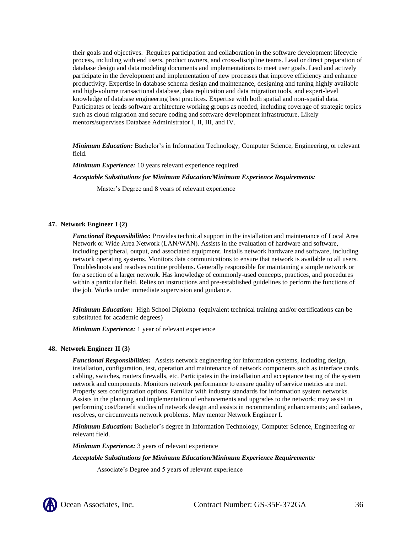their goals and objectives. Requires participation and collaboration in the software development lifecycle process, including with end users, product owners, and cross-discipline teams. Lead or direct preparation of database design and data modeling documents and implementations to meet user goals. Lead and actively participate in the development and implementation of new processes that improve efficiency and enhance productivity. Expertise in database schema design and maintenance, designing and tuning highly available and high-volume transactional database, data replication and data migration tools, and expert-level knowledge of database engineering best practices. Expertise with both spatial and non-spatial data. Participates or leads software architecture working groups as needed, including coverage of strategic topics such as cloud migration and secure coding and software development infrastructure. Likely mentors/supervises Database Administrator I, II, III, and IV.

*Minimum Education:* Bachelor's in Information Technology, Computer Science, Engineering, or relevant field.

*Minimum Experience:* 10 years relevant experience required

*Acceptable Substitutions for Minimum Education/Minimum Experience Requirements:*

Master's Degree and 8 years of relevant experience

#### **47. Network Engineer I (2)**

*Functional Responsibilities***:** Provides technical support in the installation and maintenance of Local Area Network or Wide Area Network (LAN/WAN). Assists in the evaluation of hardware and software, including peripheral, output, and associated equipment. Installs network hardware and software, including network operating systems. Monitors data communications to ensure that network is available to all users. Troubleshoots and resolves routine problems. Generally responsible for maintaining a simple network or for a section of a larger network. Has knowledge of commonly-used concepts, practices, and procedures within a particular field. Relies on instructions and pre-established guidelines to perform the functions of the job. Works under immediate supervision and guidance.

*Minimum Education:* High School Diploma (equivalent technical training and/or certifications can be substituted for academic degrees)

*Minimum Experience:* 1 year of relevant experience

#### **48. Network Engineer II (3)**

*Functional Responsibilities:* Assists network engineering for information systems, including design, installation, configuration, test, operation and maintenance of network components such as interface cards, cabling, switches, routers firewalls, etc. Participates in the installation and acceptance testing of the system network and components. Monitors network performance to ensure quality of service metrics are met. Properly sets configuration options. Familiar with industry standards for information system networks. Assists in the planning and implementation of enhancements and upgrades to the network; may assist in performing cost/benefit studies of network design and assists in recommending enhancements; and isolates, resolves, or circumvents network problems. May mentor Network Engineer I.

*Minimum Education:* Bachelor's degree in Information Technology, Computer Science, Engineering or relevant field.

*Minimum Experience:* 3 years of relevant experience

*Acceptable Substitutions for Minimum Education/Minimum Experience Requirements:*

Associate's Degree and 5 years of relevant experience

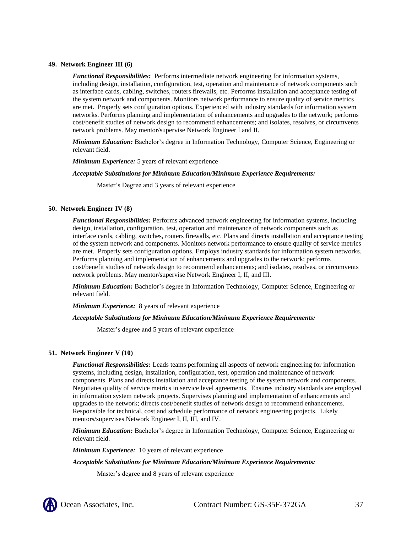#### **49. Network Engineer III (6)**

*Functional Responsibilities:* Performs intermediate network engineering for information systems, including design, installation, configuration, test, operation and maintenance of network components such as interface cards, cabling, switches, routers firewalls, etc. Performs installation and acceptance testing of the system network and components. Monitors network performance to ensure quality of service metrics are met. Properly sets configuration options. Experienced with industry standards for information system networks. Performs planning and implementation of enhancements and upgrades to the network; performs cost/benefit studies of network design to recommend enhancements; and isolates, resolves, or circumvents network problems. May mentor/supervise Network Engineer I and II.

*Minimum Education:* Bachelor's degree in Information Technology, Computer Science, Engineering or relevant field.

*Minimum Experience:* 5 years of relevant experience

*Acceptable Substitutions for Minimum Education/Minimum Experience Requirements:*

Master's Degree and 3 years of relevant experience

#### **50. Network Engineer IV (8)**

*Functional Responsibilities:* Performs advanced network engineering for information systems, including design, installation, configuration, test, operation and maintenance of network components such as interface cards, cabling, switches, routers firewalls, etc. Plans and directs installation and acceptance testing of the system network and components. Monitors network performance to ensure quality of service metrics are met. Properly sets configuration options. Employs industry standards for information system networks. Performs planning and implementation of enhancements and upgrades to the network; performs cost/benefit studies of network design to recommend enhancements; and isolates, resolves, or circumvents network problems. May mentor/supervise Network Engineer I, II, and III.

*Minimum Education:* Bachelor's degree in Information Technology, Computer Science, Engineering or relevant field.

*Minimum Experience:* 8 years of relevant experience

#### *Acceptable Substitutions for Minimum Education/Minimum Experience Requirements:*

Master's degree and 5 years of relevant experience

#### **51. Network Engineer V (10)**

*Functional Responsibilities:* Leads teams performing all aspects of network engineering for information systems, including design, installation, configuration, test, operation and maintenance of network components. Plans and directs installation and acceptance testing of the system network and components. Negotiates quality of service metrics in service level agreements. Ensures industry standards are employed in information system network projects. Supervises planning and implementation of enhancements and upgrades to the network; directs cost/benefit studies of network design to recommend enhancements. Responsible for technical, cost and schedule performance of network engineering projects. Likely mentors/supervises Network Engineer I, II, III, and IV.

*Minimum Education:* Bachelor's degree in Information Technology, Computer Science, Engineering or relevant field.

*Minimum Experience:* 10 years of relevant experience

*Acceptable Substitutions for Minimum Education/Minimum Experience Requirements:*

Master's degree and 8 years of relevant experience

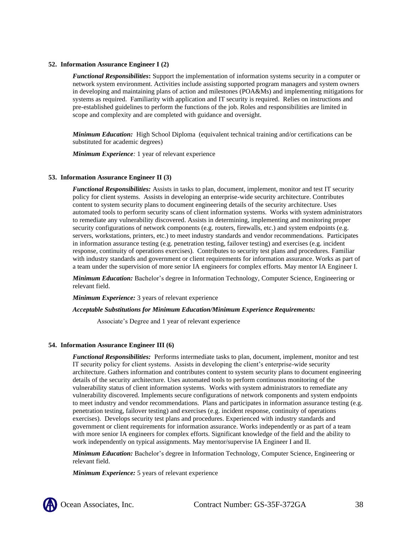#### **52. Information Assurance Engineer I (2)**

*Functional Responsibilities***:** Support the implementation of information systems security in a computer or network system environment. Activities include assisting supported program managers and system owners in developing and maintaining plans of action and milestones (POA&Ms) and implementing mitigations for systems as required. Familiarity with application and IT security is required. Relies on instructions and pre-established guidelines to perform the functions of the job. Roles and responsibilities are limited in scope and complexity and are completed with guidance and oversight.

*Minimum Education:* High School Diploma (equivalent technical training and/or certifications can be substituted for academic degrees)

*Minimum Experience:* 1 year of relevant experience

#### **53. Information Assurance Engineer II (3)**

*Functional Responsibilities:* Assists in tasks to plan, document, implement, monitor and test IT security policy for client systems. Assists in developing an enterprise-wide security architecture. Contributes content to system security plans to document engineering details of the security architecture. Uses automated tools to perform security scans of client information systems. Works with system administrators to remediate any vulnerability discovered. Assists in determining, implementing and monitoring proper security configurations of network components (e.g. routers, firewalls, etc.) and system endpoints (e.g. servers, workstations, printers, etc.) to meet industry standards and vendor recommendations. Participates in information assurance testing (e.g. penetration testing, failover testing) and exercises (e.g. incident response, continuity of operations exercises). Contributes to security test plans and procedures. Familiar with industry standards and government or client requirements for information assurance. Works as part of a team under the supervision of more senior IA engineers for complex efforts. May mentor IA Engineer I.

*Minimum Education:* Bachelor's degree in Information Technology, Computer Science, Engineering or relevant field.

*Minimum Experience:* 3 years of relevant experience

#### *Acceptable Substitutions for Minimum Education/Minimum Experience Requirements:*

Associate's Degree and 1 year of relevant experience

#### **54. Information Assurance Engineer III (6)**

*Functional Responsibilities:* Performs intermediate tasks to plan, document, implement, monitor and test IT security policy for client systems. Assists in developing the client's enterprise-wide security architecture. Gathers information and contributes content to system security plans to document engineering details of the security architecture. Uses automated tools to perform continuous monitoring of the vulnerability status of client information systems. Works with system administrators to remediate any vulnerability discovered. Implements secure configurations of network components and system endpoints to meet industry and vendor recommendations. Plans and participates in information assurance testing (e.g. penetration testing, failover testing) and exercises (e.g. incident response, continuity of operations exercises). Develops security test plans and procedures. Experienced with industry standards and government or client requirements for information assurance. Works independently or as part of a team with more senior IA engineers for complex efforts. Significant knowledge of the field and the ability to work independently on typical assignments. May mentor/supervise IA Engineer I and II.

*Minimum Education:* Bachelor's degree in Information Technology, Computer Science, Engineering or relevant field.

*Minimum Experience:* 5 years of relevant experience

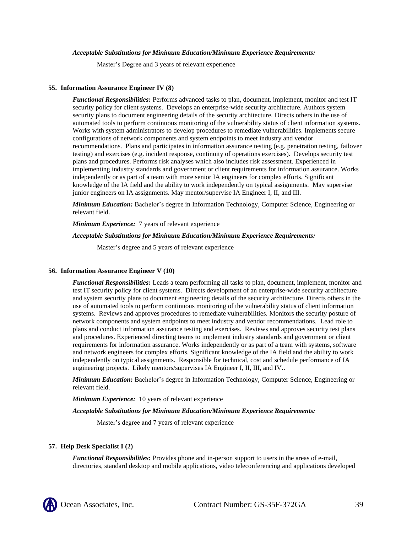#### *Acceptable Substitutions for Minimum Education/Minimum Experience Requirements:*

Master's Degree and 3 years of relevant experience

#### **55. Information Assurance Engineer IV (8)**

*Functional Responsibilities:* Performs advanced tasks to plan, document, implement, monitor and test IT security policy for client systems. Develops an enterprise-wide security architecture. Authors system security plans to document engineering details of the security architecture. Directs others in the use of automated tools to perform continuous monitoring of the vulnerability status of client information systems. Works with system administrators to develop procedures to remediate vulnerabilities. Implements secure configurations of network components and system endpoints to meet industry and vendor recommendations. Plans and participates in information assurance testing (e.g. penetration testing, failover testing) and exercises (e.g. incident response, continuity of operations exercises). Develops security test plans and procedures. Performs risk analyses which also includes risk assessment. Experienced in implementing industry standards and government or client requirements for information assurance. Works independently or as part of a team with more senior IA engineers for complex efforts. Significant knowledge of the IA field and the ability to work independently on typical assignments. May supervise junior engineers on IA assignments. May mentor/supervise IA Engineer I, II, and III.

*Minimum Education:* Bachelor's degree in Information Technology, Computer Science, Engineering or relevant field.

*Minimum Experience:* 7 years of relevant experience

#### *Acceptable Substitutions for Minimum Education/Minimum Experience Requirements:*

Master's degree and 5 years of relevant experience

#### **56. Information Assurance Engineer V (10)**

*Functional Responsibilities:* Leads a team performing all tasks to plan, document, implement, monitor and test IT security policy for client systems. Directs development of an enterprise-wide security architecture and system security plans to document engineering details of the security architecture. Directs others in the use of automated tools to perform continuous monitoring of the vulnerability status of client information systems. Reviews and approves procedures to remediate vulnerabilities. Monitors the security posture of network components and system endpoints to meet industry and vendor recommendations. Lead role to plans and conduct information assurance testing and exercises. Reviews and approves security test plans and procedures. Experienced directing teams to implement industry standards and government or client requirements for information assurance. Works independently or as part of a team with systems, software and network engineers for complex efforts. Significant knowledge of the IA field and the ability to work independently on typical assignments. Responsible for technical, cost and schedule performance of IA engineering projects. Likely mentors/supervises IA Engineer I, II, III, and IV..

*Minimum Education:* Bachelor's degree in Information Technology, Computer Science, Engineering or relevant field.

*Minimum Experience:* 10 years of relevant experience

#### *Acceptable Substitutions for Minimum Education/Minimum Experience Requirements:*

Master's degree and 7 years of relevant experience

#### **57. Help Desk Specialist I (2)**

*Functional Responsibilities***:** Provides phone and in-person support to users in the areas of e-mail, directories, standard desktop and mobile applications, video teleconferencing and applications developed

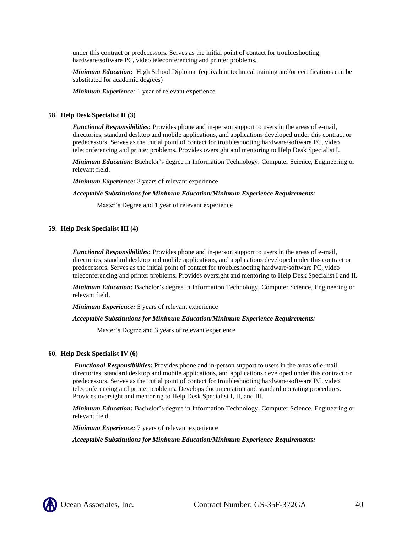under this contract or predecessors. Serves as the initial point of contact for troubleshooting hardware/software PC, video teleconferencing and printer problems.

*Minimum Education:* High School Diploma (equivalent technical training and/or certifications can be substituted for academic degrees)

*Minimum Experience:* 1 year of relevant experience

#### **58. Help Desk Specialist II (3)**

*Functional Responsibilities***:** Provides phone and in-person support to users in the areas of e-mail, directories, standard desktop and mobile applications, and applications developed under this contract or predecessors. Serves as the initial point of contact for troubleshooting hardware/software PC, video teleconferencing and printer problems. Provides oversight and mentoring to Help Desk Specialist I.

*Minimum Education:* Bachelor's degree in Information Technology, Computer Science, Engineering or relevant field.

*Minimum Experience:* 3 years of relevant experience

*Acceptable Substitutions for Minimum Education/Minimum Experience Requirements:*

Master's Degree and 1 year of relevant experience

#### **59. Help Desk Specialist III (4)**

*Functional Responsibilities***:** Provides phone and in-person support to users in the areas of e-mail, directories, standard desktop and mobile applications, and applications developed under this contract or predecessors. Serves as the initial point of contact for troubleshooting hardware/software PC, video teleconferencing and printer problems. Provides oversight and mentoring to Help Desk Specialist I and II.

*Minimum Education:* Bachelor's degree in Information Technology, Computer Science, Engineering or relevant field.

*Minimum Experience:* 5 years of relevant experience

#### *Acceptable Substitutions for Minimum Education/Minimum Experience Requirements:*

Master's Degree and 3 years of relevant experience

#### **60. Help Desk Specialist IV (6)**

*Functional Responsibilities***:** Provides phone and in-person support to users in the areas of e-mail, directories, standard desktop and mobile applications, and applications developed under this contract or predecessors. Serves as the initial point of contact for troubleshooting hardware/software PC, video teleconferencing and printer problems. Develops documentation and standard operating procedures. Provides oversight and mentoring to Help Desk Specialist I, II, and III.

*Minimum Education:* Bachelor's degree in Information Technology, Computer Science, Engineering or relevant field.

*Minimum Experience:* 7 years of relevant experience

*Acceptable Substitutions for Minimum Education/Minimum Experience Requirements:*

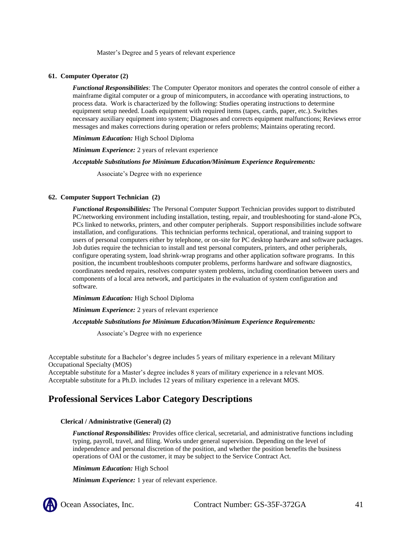Master's Degree and 5 years of relevant experience

#### **61. Computer Operator (2)**

*Functional Responsibilities*: The Computer Operator monitors and operates the control console of either a mainframe digital computer or a group of minicomputers, in accordance with operating instructions, to process data. Work is characterized by the following: Studies operating instructions to determine equipment setup needed. Loads equipment with required items (tapes, cards, paper, etc.). Switches necessary auxiliary equipment into system; Diagnoses and corrects equipment malfunctions; Reviews error messages and makes corrections during operation or refers problems; Maintains operating record.

*Minimum Education:* High School Diploma

*Minimum Experience:* 2 years of relevant experience

#### *Acceptable Substitutions for Minimum Education/Minimum Experience Requirements:*

Associate's Degree with no experience

#### **62. Computer Support Technician (2)**

*Functional Responsibilities:* The Personal Computer Support Technician provides support to distributed PC/networking environment including installation, testing, repair, and troubleshooting for stand-alone PCs, PCs linked to networks, printers, and other computer peripherals. Support responsibilities include software installation, and configurations. This technician performs technical, operational, and training support to users of personal computers either by telephone, or on-site for PC desktop hardware and software packages. Job duties require the technician to install and test personal computers, printers, and other peripherals, configure operating system, load shrink-wrap programs and other application software programs. In this position, the incumbent troubleshoots computer problems, performs hardware and software diagnostics, coordinates needed repairs, resolves computer system problems, including coordination between users and components of a local area network, and participates in the evaluation of system configuration and software.

*Minimum Education:* High School Diploma

*Minimum Experience:* 2 years of relevant experience

#### *Acceptable Substitutions for Minimum Education/Minimum Experience Requirements:*

Associate's Degree with no experience

Acceptable substitute for a Bachelor's degree includes 5 years of military experience in a relevant Military Occupational Specialty (MOS)

Acceptable substitute for a Master's degree includes 8 years of military experience in a relevant MOS. Acceptable substitute for a Ph.D. includes 12 years of military experience in a relevant MOS.

## **Professional Services Labor Category Descriptions**

#### **Clerical / Administrative (General) (2)**

*Functional Responsibilities:* Provides office clerical, secretarial, and administrative functions including typing, payroll, travel, and filing. Works under general supervision. Depending on the level of independence and personal discretion of the position, and whether the position benefits the business operations of OAI or the customer, it may be subject to the Service Contract Act.

#### *Minimum Education:* High School

*Minimum Experience:* 1 year of relevant experience.

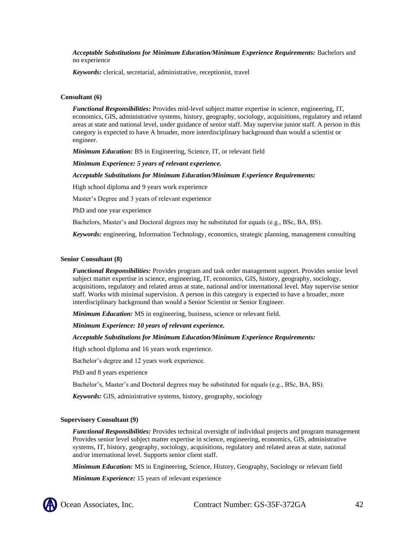#### *Acceptable Substitutions for Minimum Education/Minimum Experience Requirements:* Bachelors and no experience

*Keywords:* clerical, secretarial, administrative, receptionist, travel

#### **Consultant (6)**

*Functional Responsibilities:* Provides mid-level subject matter expertise in science, engineering, IT, economics, GIS, administrative systems, history, geography, sociology, acquisitions, regulatory and related areas at state and national level, under guidance of senior staff. May supervise junior staff. A person in this category is expected to have A broader, more interdisciplinary background than would a scientist or engineer.

*Minimum Education:* BS in Engineering, Science, IT, or relevant field

*Minimum Experience: 5 years of relevant experience.* 

#### *Acceptable Substitutions for Minimum Education/Minimum Experience Requirements:*

High school diploma and 9 years work experience

Master's Degree and 3 years of relevant experience

PhD and one year experience

Bachelors, Master's and Doctoral degrees may be substituted for equals (e.g., BSc, BA, BS).

*Keywords:* engineering, Information Technology, economics, strategic planning, management consulting

#### **Senior Consultant (8)**

*Functional Responsibilities:* Provides program and task order management support. Provides senior level subject matter expertise in science, engineering, IT, economics, GIS, history, geography, sociology, acquisitions, regulatory and related areas at state, national and/or international level. May supervise senior staff. Works with minimal supervision. A person in this category is expected to have a broader, more interdisciplinary background than would a Senior Scientist or Senior Engineer.

*Minimum Education:* MS in engineering, business, science or relevant field.

*Minimum Experience: 10 years of relevant experience.* 

#### *Acceptable Substitutions for Minimum Education/Minimum Experience Requirements:*

High school diploma and 16 years work experience.

Bachelor's degree and 12 years work experience.

PhD and 8 years experience

Bachelor's, Master's and Doctoral degrees may be substituted for equals (e.g., BSc, BA, BS).

*Keywords:* GIS, administrative systems, history, geography, sociology

#### **Supervisory Consultant (9)**

*Functional Responsibilities:* Provides technical oversight of individual projects and program management Provides senior level subject matter expertise in science, engineering, economics, GIS, administrative systems, IT, history, geography, sociology, acquisitions, regulatory and related areas at state, national and/or international level. Supports senior client staff.

*Minimum Education:* MS in Engineering, Science, History, Geography, Sociology or relevant field

*Minimum Experience:* 15 years of relevant experience

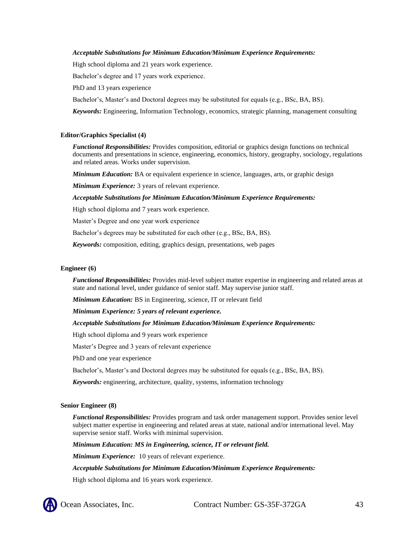#### *Acceptable Substitutions for Minimum Education/Minimum Experience Requirements:*

High school diploma and 21 years work experience.

Bachelor's degree and 17 years work experience.

PhD and 13 years experience

Bachelor's, Master's and Doctoral degrees may be substituted for equals (e.g., BSc, BA, BS).

*Keywords:* Engineering, Information Technology, economics, strategic planning, management consulting

#### **Editor/Graphics Specialist (4)**

*Functional Responsibilities:* Provides composition, editorial or graphics design functions on technical documents and presentations in science, engineering, economics, history, geography, sociology, regulations and related areas. Works under supervision.

*Minimum Education:* BA or equivalent experience in science, languages, arts, or graphic design

*Minimum Experience:* 3 years of relevant experience.

#### *Acceptable Substitutions for Minimum Education/Minimum Experience Requirements:*

High school diploma and 7 years work experience.

Master's Degree and one year work experience

Bachelor's degrees may be substituted for each other (e.g., BSc, BA, BS).

*Keywords:* composition, editing, graphics design, presentations, web pages

#### **Engineer (6)**

*Functional Responsibilities:* Provides mid-level subject matter expertise in engineering and related areas at state and national level, under guidance of senior staff. May supervise junior staff.

*Minimum Education:* BS in Engineering, science, IT or relevant field

*Minimum Experience: 5 years of relevant experience.* 

*Acceptable Substitutions for Minimum Education/Minimum Experience Requirements:*

High school diploma and 9 years work experience

Master's Degree and 3 years of relevant experience

PhD and one year experience

Bachelor's, Master's and Doctoral degrees may be substituted for equals (e.g., BSc, BA, BS).

*Keywords:* engineering, architecture, quality, systems, information technology

#### **Senior Engineer (8)**

*Functional Responsibilities:* Provides program and task order management support. Provides senior level subject matter expertise in engineering and related areas at state, national and/or international level. May supervise senior staff. Works with minimal supervision.

*Minimum Education: MS in Engineering, science, IT or relevant field.*

*Minimum Experience:* 10 years of relevant experience.

*Acceptable Substitutions for Minimum Education/Minimum Experience Requirements:*

High school diploma and 16 years work experience.

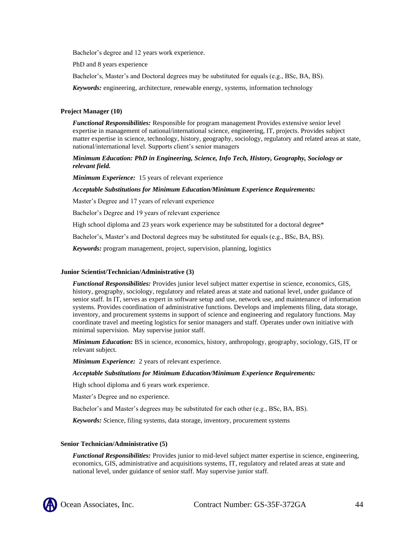Bachelor's degree and 12 years work experience.

PhD and 8 years experience

Bachelor's, Master's and Doctoral degrees may be substituted for equals (e.g., BSc, BA, BS).

*Keywords:* engineering, architecture, renewable energy, systems, information technology

#### **Project Manager (10)**

*Functional Responsibilities:* Responsible for program management Provides extensive senior level expertise in management of national/international science, engineering, IT, projects. Provides subject matter expertise in science, technology, history, geography, sociology, regulatory and related areas at state, national/international level. Supports client's senior managers

#### *Minimum Education: PhD in Engineering, Science, Info Tech, History, Geography, Sociology or relevant field.*

*Minimum Experience:* 15 years of relevant experience

*Acceptable Substitutions for Minimum Education/Minimum Experience Requirements:*

Master's Degree and 17 years of relevant experience

Bachelor's Degree and 19 years of relevant experience

High school diploma and 23 years work experience may be substituted for a doctoral degree\*

Bachelor's, Master's and Doctoral degrees may be substituted for equals (e.g., BSc, BA, BS).

*Keywords:* program management, project, supervision, planning, logistics

#### **Junior Scientist/Technician/Administrative (3)**

*Functional Responsibilities:* Provides junior level subject matter expertise in science, economics, GIS, history, geography, sociology, regulatory and related areas at state and national level, under guidance of senior staff. In IT, serves as expert in software setup and use, network use, and maintenance of information systems. Provides coordination of administrative functions. Develops and implements filing, data storage, inventory, and procurement systems in support of science and engineering and regulatory functions. May coordinate travel and meeting logistics for senior managers and staff. Operates under own initiative with minimal supervision. May supervise junior staff.

*Minimum Education:* BS in science, economics, history, anthropology, geography, sociology, GIS, IT or relevant subject.

*Minimum Experience:* 2 years of relevant experience.

#### *Acceptable Substitutions for Minimum Education/Minimum Experience Requirements:*

High school diploma and 6 years work experience.

Master's Degree and no experience.

Bachelor's and Master's degrees may be substituted for each other (e.g., BSc, BA, BS).

*Keywords: S*cience, filing systems, data storage, inventory, procurement systems

#### **Senior Technician/Administrative (5)**

*Functional Responsibilities:* Provides junior to mid-level subject matter expertise in science, engineering, economics, GIS, administrative and acquisitions systems, IT, regulatory and related areas at state and national level, under guidance of senior staff. May supervise junior staff.

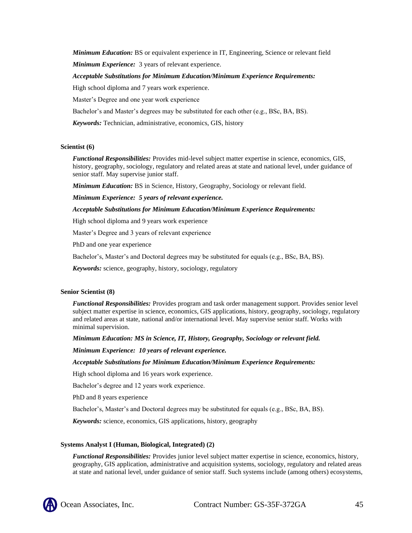*Minimum Education:* BS or equivalent experience in IT, Engineering, Science or relevant field *Minimum Experience:* 3 years of relevant experience.

*Acceptable Substitutions for Minimum Education/Minimum Experience Requirements:*

High school diploma and 7 years work experience.

Master's Degree and one year work experience

Bachelor's and Master's degrees may be substituted for each other (e.g., BSc, BA, BS).

*Keywords:* Technician, administrative, economics, GIS, history

#### **Scientist (6)**

*Functional Responsibilities:* Provides mid-level subject matter expertise in science, economics, GIS, history, geography, sociology, regulatory and related areas at state and national level, under guidance of senior staff. May supervise junior staff.

*Minimum Education:* BS in Science, History, Geography, Sociology or relevant field.

*Minimum Experience: 5 years of relevant experience.* 

*Acceptable Substitutions for Minimum Education/Minimum Experience Requirements:*

High school diploma and 9 years work experience

Master's Degree and 3 years of relevant experience

PhD and one year experience

Bachelor's, Master's and Doctoral degrees may be substituted for equals (e.g., BSc, BA, BS).

*Keywords:* science, geography, history, sociology, regulatory

#### **Senior Scientist (8)**

*Functional Responsibilities:* Provides program and task order management support. Provides senior level subject matter expertise in science, economics, GIS applications, history, geography, sociology, regulatory and related areas at state, national and/or international level. May supervise senior staff. Works with minimal supervision.

*Minimum Education: MS in Science, IT, History, Geography, Sociology or relevant field.*

*Minimum Experience: 10 years of relevant experience.* 

#### *Acceptable Substitutions for Minimum Education/Minimum Experience Requirements:*

High school diploma and 16 years work experience.

Bachelor's degree and 12 years work experience.

PhD and 8 years experience

Bachelor's, Master's and Doctoral degrees may be substituted for equals (e.g., BSc, BA, BS).

*Keywords:* science, economics, GIS applications, history, geography

#### **Systems Analyst I (Human, Biological, Integrated) (2)**

*Functional Responsibilities:* Provides junior level subject matter expertise in science, economics, history, geography, GIS application, administrative and acquisition systems, sociology, regulatory and related areas at state and national level, under guidance of senior staff. Such systems include (among others) ecosystems,

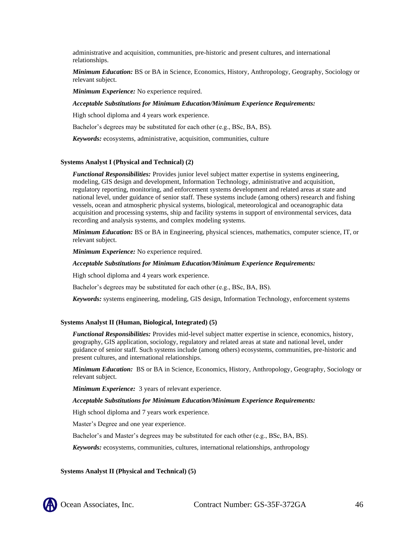administrative and acquisition, communities, pre-historic and present cultures, and international relationships.

*Minimum Education:* BS or BA in Science, Economics, History, Anthropology, Geography, Sociology or relevant subject.

*Minimum Experience:* No experience required.

#### *Acceptable Substitutions for Minimum Education/Minimum Experience Requirements:*

High school diploma and 4 years work experience.

Bachelor's degrees may be substituted for each other (e.g., BSc, BA, BS).

*Keywords:* ecosystems, administrative, acquisition, communities, culture

#### **Systems Analyst I (Physical and Technical) (2)**

*Functional Responsibilities:* Provides junior level subject matter expertise in systems engineering, modeling, GIS design and development, Information Technology, administrative and acquisition, regulatory reporting, monitoring, and enforcement systems development and related areas at state and national level, under guidance of senior staff. These systems include (among others) research and fishing vessels, ocean and atmospheric physical systems, biological, meteorological and oceanographic data acquisition and processing systems, ship and facility systems in support of environmental services, data recording and analysis systems, and complex modeling systems.

*Minimum Education:* BS or BA in Engineering, physical sciences, mathematics, computer science, IT, or relevant subject.

*Minimum Experience:* No experience required.

#### *Acceptable Substitutions for Minimum Education/Minimum Experience Requirements:*

High school diploma and 4 years work experience.

Bachelor's degrees may be substituted for each other (e.g., BSc, BA, BS).

*Keywords:* systems engineering, modeling, GIS design, Information Technology, enforcement systems

#### **Systems Analyst II (Human, Biological, Integrated) (5)**

*Functional Responsibilities:* Provides mid-level subject matter expertise in science, economics, history, geography, GIS application, sociology, regulatory and related areas at state and national level, under guidance of senior staff. Such systems include (among others) ecosystems, communities, pre-historic and present cultures, and international relationships.

*Minimum Education:* BS or BA in Science, Economics, History, Anthropology, Geography, Sociology or relevant subject.

*Minimum Experience:* 3 years of relevant experience.

#### *Acceptable Substitutions for Minimum Education/Minimum Experience Requirements:*

High school diploma and 7 years work experience.

Master's Degree and one year experience.

Bachelor's and Master's degrees may be substituted for each other (e.g., BSc, BA, BS).

*Keywords:* ecosystems, communities, cultures, international relationships, anthropology

#### **Systems Analyst II (Physical and Technical) (5)**

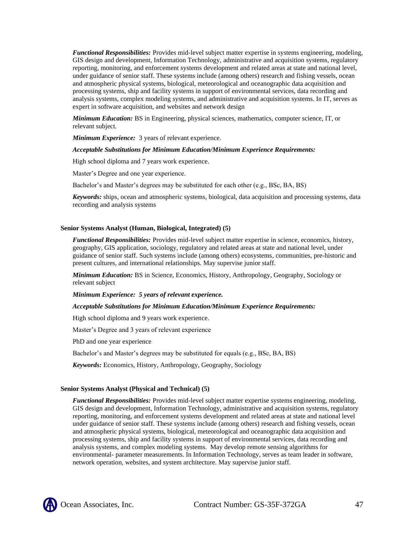*Functional Responsibilities:* Provides mid-level subject matter expertise in systems engineering, modeling, GIS design and development, Information Technology, administrative and acquisition systems, regulatory reporting, monitoring, and enforcement systems development and related areas at state and national level, under guidance of senior staff. These systems include (among others) research and fishing vessels, ocean and atmospheric physical systems, biological, meteorological and oceanographic data acquisition and processing systems, ship and facility systems in support of environmental services, data recording and analysis systems, complex modeling systems, and administrative and acquisition systems. In IT, serves as expert in software acquisition, and websites and network design

*Minimum Education:* BS in Engineering, physical sciences, mathematics, computer science, IT, or relevant subject.

*Minimum Experience:* 3 years of relevant experience.

#### *Acceptable Substitutions for Minimum Education/Minimum Experience Requirements:*

High school diploma and 7 years work experience.

Master's Degree and one year experience.

Bachelor's and Master's degrees may be substituted for each other (e.g., BSc, BA, BS)

*Keywords:* ships*,* ocean and atmospheric systems, biological, data acquisition and processing systems, data recording and analysis systems

#### **Senior Systems Analyst (Human, Biological, Integrated) (5)**

*Functional Responsibilities:* Provides mid-level subject matter expertise in science, economics, history, geography, GIS application, sociology, regulatory and related areas at state and national level, under guidance of senior staff. Such systems include (among others) ecosystems, communities, pre-historic and present cultures, and international relationships. May supervise junior staff.

*Minimum Education:* BS in Science, Economics, History, Anthropology, Geography, Sociology or relevant subject

*Minimum Experience: 5 years of relevant experience.* 

#### *Acceptable Substitutions for Minimum Education/Minimum Experience Requirements:*

High school diploma and 9 years work experience.

Master's Degree and 3 years of relevant experience

PhD and one year experience

Bachelor's and Master's degrees may be substituted for equals (e.g., BSc, BA, BS)

*Keywords:* Economics, History, Anthropology, Geography, Sociology

#### **Senior Systems Analyst (Physical and Technical) (5)**

*Functional Responsibilities:* Provides mid-level subject matter expertise systems engineering, modeling, GIS design and development, Information Technology, administrative and acquisition systems, regulatory reporting, monitoring, and enforcement systems development and related areas at state and national level under guidance of senior staff. These systems include (among others) research and fishing vessels, ocean and atmospheric physical systems, biological, meteorological and oceanographic data acquisition and processing systems, ship and facility systems in support of environmental services, data recording and analysis systems, and complex modeling systems. May develop remote sensing algorithms for environmental- parameter measurements. In Information Technology, serves as team leader in software, network operation, websites, and system architecture. May supervise junior staff.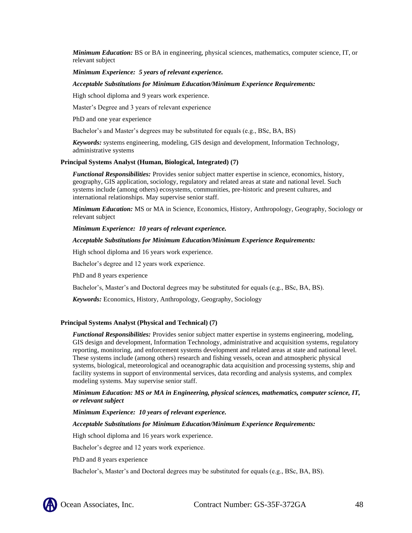*Minimum Education:* BS or BA in engineering, physical sciences, mathematics, computer science, IT, or relevant subject

#### *Minimum Experience: 5 years of relevant experience.*

#### *Acceptable Substitutions for Minimum Education/Minimum Experience Requirements:*

High school diploma and 9 years work experience.

Master's Degree and 3 years of relevant experience

PhD and one year experience

Bachelor's and Master's degrees may be substituted for equals (e.g., BSc, BA, BS)

*Keywords:* systems engineering, modeling, GIS design and development, Information Technology, administrative systems

#### **Principal Systems Analyst (Human, Biological, Integrated) (7)**

*Functional Responsibilities:* Provides senior subject matter expertise in science, economics, history, geography, GIS application, sociology, regulatory and related areas at state and national level. Such systems include (among others) ecosystems, communities, pre-historic and present cultures, and international relationships. May supervise senior staff.

*Minimum Education:* MS or MA in Science, Economics, History, Anthropology, Geography, Sociology or relevant subject

*Minimum Experience: 10 years of relevant experience.* 

#### *Acceptable Substitutions for Minimum Education/Minimum Experience Requirements:*

High school diploma and 16 years work experience.

Bachelor's degree and 12 years work experience.

PhD and 8 years experience

Bachelor's, Master's and Doctoral degrees may be substituted for equals (e.g., BSc, BA, BS).

*Keywords:* Economics, History, Anthropology, Geography, Sociology

#### **Principal Systems Analyst (Physical and Technical) (7)**

*Functional Responsibilities:* Provides senior subject matter expertise in systems engineering, modeling, GIS design and development, Information Technology, administrative and acquisition systems, regulatory reporting, monitoring, and enforcement systems development and related areas at state and national level. These systems include (among others) research and fishing vessels, ocean and atmospheric physical systems, biological, meteorological and oceanographic data acquisition and processing systems, ship and facility systems in support of environmental services, data recording and analysis systems, and complex modeling systems. May supervise senior staff.

#### *Minimum Education: MS or MA in Engineering, physical sciences, mathematics, computer science, IT, or relevant subject*

*Minimum Experience: 10 years of relevant experience.* 

#### *Acceptable Substitutions for Minimum Education/Minimum Experience Requirements:*

High school diploma and 16 years work experience.

Bachelor's degree and 12 years work experience.

PhD and 8 years experience

Bachelor's, Master's and Doctoral degrees may be substituted for equals (e.g., BSc, BA, BS).

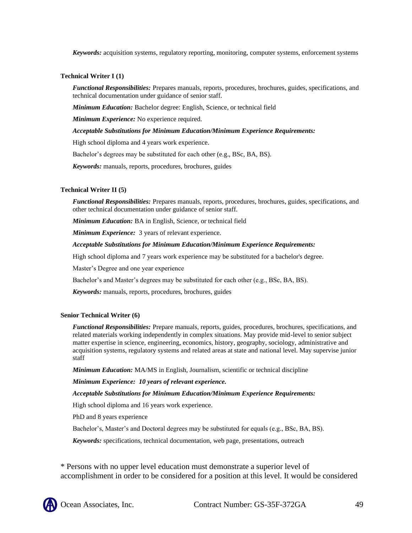*Keywords:* acquisition systems, regulatory reporting, monitoring, computer systems, enforcement systems

**Technical Writer I (1)**

*Functional Responsibilities:* Prepares manuals, reports, procedures, brochures, guides, specifications, and technical documentation under guidance of senior staff.

*Minimum Education:* Bachelor degree: English, Science, or technical field

*Minimum Experience:* No experience required.

*Acceptable Substitutions for Minimum Education/Minimum Experience Requirements:*

High school diploma and 4 years work experience.

Bachelor's degrees may be substituted for each other (e.g., BSc, BA, BS).

*Keywords:* manuals, reports, procedures, brochures, guides

#### **Technical Writer II (5)**

*Functional Responsibilities:* Prepares manuals, reports, procedures, brochures, guides, specifications, and other technical documentation under guidance of senior staff.

*Minimum Education:* BA in English, Science, or technical field

*Minimum Experience:* 3 years of relevant experience.

*Acceptable Substitutions for Minimum Education/Minimum Experience Requirements:*

High school diploma and 7 years work experience may be substituted for a bachelor's degree.

Master's Degree and one year experience

Bachelor's and Master's degrees may be substituted for each other (e.g., BSc, BA, BS).

*Keywords:* manuals, reports, procedures, brochures, guides

#### **Senior Technical Writer (6)**

*Functional Responsibilities:* Prepare manuals, reports, guides, procedures, brochures, specifications, and related materials working independently in complex situations. May provide mid-level to senior subject matter expertise in science, engineering, economics, history, geography, sociology, administrative and acquisition systems, regulatory systems and related areas at state and national level. May supervise junior staff

*Minimum Education:* MA/MS in English, Journalism, scientific or technical discipline

#### *Minimum Experience: 10 years of relevant experience.*

#### *Acceptable Substitutions for Minimum Education/Minimum Experience Requirements:*

High school diploma and 16 years work experience.

PhD and 8 years experience

Bachelor's, Master's and Doctoral degrees may be substituted for equals (e.g., BSc, BA, BS).

*Keywords:* specifications, technical documentation, web page, presentations, outreach

\* Persons with no upper level education must demonstrate a superior level of accomplishment in order to be considered for a position at this level. It would be considered